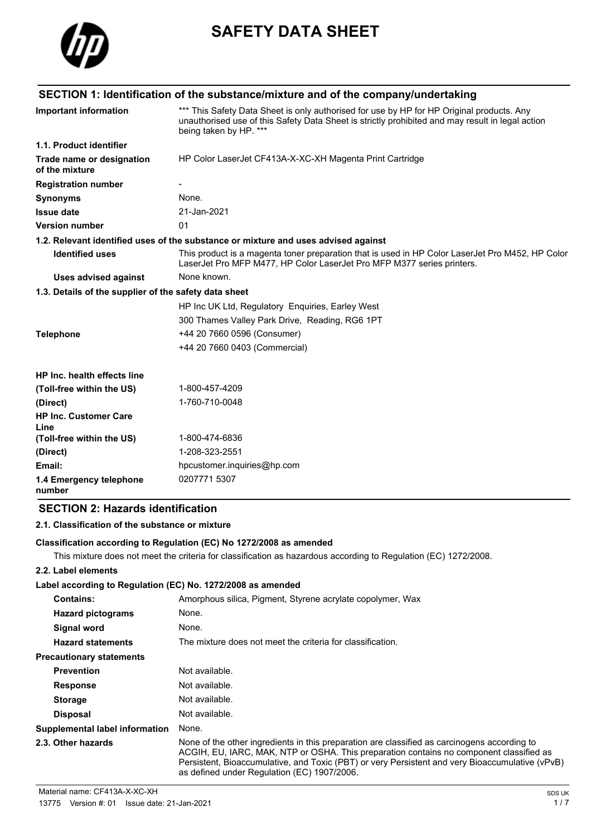

# **SAFETY DATA SHEET**

|                                                       | SECTION 1: Identification of the substance/mixture and of the company/undertaking                                                                                                                                       |
|-------------------------------------------------------|-------------------------------------------------------------------------------------------------------------------------------------------------------------------------------------------------------------------------|
| <b>Important information</b>                          | *** This Safety Data Sheet is only authorised for use by HP for HP Original products. Any<br>unauthorised use of this Safety Data Sheet is strictly prohibited and may result in legal action<br>being taken by HP. *** |
| 1.1. Product identifier                               |                                                                                                                                                                                                                         |
| Trade name or designation<br>of the mixture           | HP Color LaserJet CF413A-X-XC-XH Magenta Print Cartridge                                                                                                                                                                |
| <b>Registration number</b>                            |                                                                                                                                                                                                                         |
| <b>Synonyms</b>                                       | None.                                                                                                                                                                                                                   |
| <b>Issue date</b>                                     | 21-Jan-2021                                                                                                                                                                                                             |
| <b>Version number</b>                                 | 01                                                                                                                                                                                                                      |
|                                                       | 1.2. Relevant identified uses of the substance or mixture and uses advised against                                                                                                                                      |
| <b>Identified uses</b>                                | This product is a magenta toner preparation that is used in HP Color LaserJet Pro M452, HP Color<br>LaserJet Pro MFP M477, HP Color LaserJet Pro MFP M377 series printers.                                              |
| <b>Uses advised against</b>                           | None known.                                                                                                                                                                                                             |
| 1.3. Details of the supplier of the safety data sheet |                                                                                                                                                                                                                         |
|                                                       | HP Inc UK Ltd, Regulatory Enguiries, Earley West                                                                                                                                                                        |
|                                                       | 300 Thames Valley Park Drive, Reading, RG6 1PT                                                                                                                                                                          |
| <b>Telephone</b>                                      | +44 20 7660 0596 (Consumer)                                                                                                                                                                                             |
|                                                       | +44 20 7660 0403 (Commercial)                                                                                                                                                                                           |
| HP Inc. health effects line                           |                                                                                                                                                                                                                         |
| (Toll-free within the US)                             | 1-800-457-4209                                                                                                                                                                                                          |
| (Direct)                                              | 1-760-710-0048                                                                                                                                                                                                          |
| <b>HP Inc. Customer Care</b><br>Line                  |                                                                                                                                                                                                                         |
| (Toll-free within the US)                             | 1-800-474-6836                                                                                                                                                                                                          |
| (Direct)                                              | 1-208-323-2551                                                                                                                                                                                                          |
| Email:                                                | hpcustomer.inquiries@hp.com                                                                                                                                                                                             |
| 1.4 Emergency telephone<br>number                     | 0207771 5307                                                                                                                                                                                                            |

# **SECTION 2: Hazards identification**

### **2.1. Classification of the substance or mixture**

### **Classification according to Regulation (EC) No 1272/2008 as amended**

This mixture does not meet the criteria for classification as hazardous according to Regulation (EC) 1272/2008.

### **2.2. Label elements**

### **Label according to Regulation (EC) No. 1272/2008 as amended**

| <b>Contains:</b>                      | Amorphous silica, Pigment, Styrene acrylate copolymer, Wax                                                                                                                                                                                                                                                                                |
|---------------------------------------|-------------------------------------------------------------------------------------------------------------------------------------------------------------------------------------------------------------------------------------------------------------------------------------------------------------------------------------------|
| <b>Hazard pictograms</b>              | None.                                                                                                                                                                                                                                                                                                                                     |
| Signal word                           | None.                                                                                                                                                                                                                                                                                                                                     |
| <b>Hazard statements</b>              | The mixture does not meet the criteria for classification.                                                                                                                                                                                                                                                                                |
| <b>Precautionary statements</b>       |                                                                                                                                                                                                                                                                                                                                           |
| <b>Prevention</b>                     | Not available.                                                                                                                                                                                                                                                                                                                            |
| <b>Response</b>                       | Not available.                                                                                                                                                                                                                                                                                                                            |
| <b>Storage</b>                        | Not available.                                                                                                                                                                                                                                                                                                                            |
| <b>Disposal</b>                       | Not available.                                                                                                                                                                                                                                                                                                                            |
| <b>Supplemental label information</b> | None.                                                                                                                                                                                                                                                                                                                                     |
| 2.3. Other hazards                    | None of the other ingredients in this preparation are classified as carcinogens according to<br>ACGIH, EU, IARC, MAK, NTP or OSHA. This preparation contains no component classified as<br>Persistent, Bioaccumulative, and Toxic (PBT) or very Persistent and very Bioaccumulative (vPvB)<br>as defined under Regulation (EC) 1907/2006. |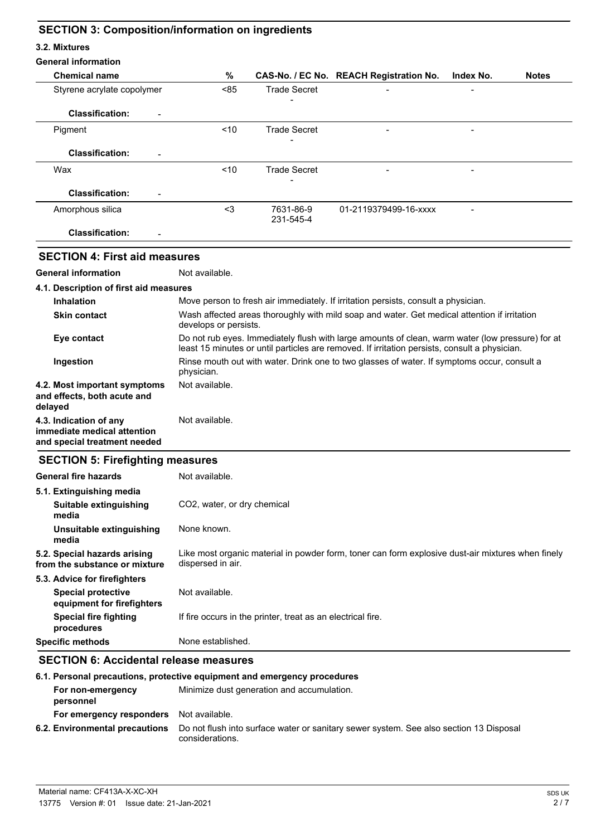# **SECTION 3: Composition/information on ingredients**

#### **3.2. Mixtures**

| <b>General information</b>                                                            |                                                                                                                                                                                                   |                                                                                                                       |                                         |           |              |
|---------------------------------------------------------------------------------------|---------------------------------------------------------------------------------------------------------------------------------------------------------------------------------------------------|-----------------------------------------------------------------------------------------------------------------------|-----------------------------------------|-----------|--------------|
| <b>Chemical name</b>                                                                  | %                                                                                                                                                                                                 |                                                                                                                       | CAS-No. / EC No. REACH Registration No. | Index No. | <b>Notes</b> |
| Styrene acrylate copolymer                                                            | < 85                                                                                                                                                                                              | <b>Trade Secret</b>                                                                                                   |                                         |           |              |
| <b>Classification:</b>                                                                |                                                                                                                                                                                                   |                                                                                                                       |                                         |           |              |
| Pigment                                                                               | < 10                                                                                                                                                                                              | <b>Trade Secret</b>                                                                                                   |                                         |           |              |
| <b>Classification:</b>                                                                |                                                                                                                                                                                                   |                                                                                                                       |                                         |           |              |
| Wax                                                                                   | < 10                                                                                                                                                                                              | <b>Trade Secret</b>                                                                                                   |                                         |           |              |
| <b>Classification:</b>                                                                |                                                                                                                                                                                                   |                                                                                                                       |                                         |           |              |
| Amorphous silica                                                                      | $3$                                                                                                                                                                                               | 7631-86-9<br>231-545-4                                                                                                | 01-2119379499-16-xxxx                   |           |              |
| <b>Classification:</b>                                                                |                                                                                                                                                                                                   |                                                                                                                       |                                         |           |              |
| <b>SECTION 4: First aid measures</b>                                                  |                                                                                                                                                                                                   |                                                                                                                       |                                         |           |              |
| <b>General information</b>                                                            | Not available.                                                                                                                                                                                    |                                                                                                                       |                                         |           |              |
| 4.1. Description of first aid measures                                                |                                                                                                                                                                                                   |                                                                                                                       |                                         |           |              |
| <b>Inhalation</b>                                                                     | Move person to fresh air immediately. If irritation persists, consult a physician.                                                                                                                |                                                                                                                       |                                         |           |              |
| <b>Skin contact</b>                                                                   |                                                                                                                                                                                                   | Wash affected areas thoroughly with mild soap and water. Get medical attention if irritation<br>develops or persists. |                                         |           |              |
| Eye contact                                                                           | Do not rub eyes. Immediately flush with large amounts of clean, warm water (low pressure) for at<br>least 15 minutes or until particles are removed. If irritation persists, consult a physician. |                                                                                                                       |                                         |           |              |
| Ingestion                                                                             | Rinse mouth out with water. Drink one to two glasses of water. If symptoms occur, consult a<br>physician.                                                                                         |                                                                                                                       |                                         |           |              |
| 4.2. Most important symptoms<br>and effects, both acute and<br>delayed                | Not available.                                                                                                                                                                                    |                                                                                                                       |                                         |           |              |
| 4.3. Indication of any<br>immediate medical attention<br>and special treatment needed | Not available.                                                                                                                                                                                    |                                                                                                                       |                                         |           |              |
| <b>SECTION 5: Firefighting measures</b>                                               |                                                                                                                                                                                                   |                                                                                                                       |                                         |           |              |
| <b>General fire hazards</b>                                                           | Not available.                                                                                                                                                                                    |                                                                                                                       |                                         |           |              |
| 5.1. Extinguishing media                                                              |                                                                                                                                                                                                   |                                                                                                                       |                                         |           |              |
| Suitable extinguishing<br>media                                                       | CO2, water, or dry chemical                                                                                                                                                                       |                                                                                                                       |                                         |           |              |
| Unsuitable extinguishing<br>media                                                     | None known.                                                                                                                                                                                       |                                                                                                                       |                                         |           |              |
| 5.2. Special hazards arising<br>from the substance or mixture                         | Like most organic material in powder form, toner can form explosive dust-air mixtures when finely<br>dispersed in air.                                                                            |                                                                                                                       |                                         |           |              |
| 5.3. Advice for firefighters                                                          |                                                                                                                                                                                                   |                                                                                                                       |                                         |           |              |
| <b>Special protective</b><br>equipment for firefighters                               | Not available.                                                                                                                                                                                    |                                                                                                                       |                                         |           |              |
| <b>Special fire fighting</b><br>procedures                                            |                                                                                                                                                                                                   | If fire occurs in the printer, treat as an electrical fire.                                                           |                                         |           |              |
| <b>Specific methods</b>                                                               | None established.                                                                                                                                                                                 |                                                                                                                       |                                         |           |              |
| <b>SECTION 6: Accidental release measures</b>                                         |                                                                                                                                                                                                   |                                                                                                                       |                                         |           |              |

# **6.1. Personal precautions, protective equipment and emergency procedures**

| For non-emergency<br>personnel                 | Minimize dust generation and accumulation.                                                                |
|------------------------------------------------|-----------------------------------------------------------------------------------------------------------|
| <b>For emergency responders</b> Not available. |                                                                                                           |
| 6.2. Environmental precautions                 | Do not flush into surface water or sanitary sewer system. See also section 13 Disposal<br>considerations. |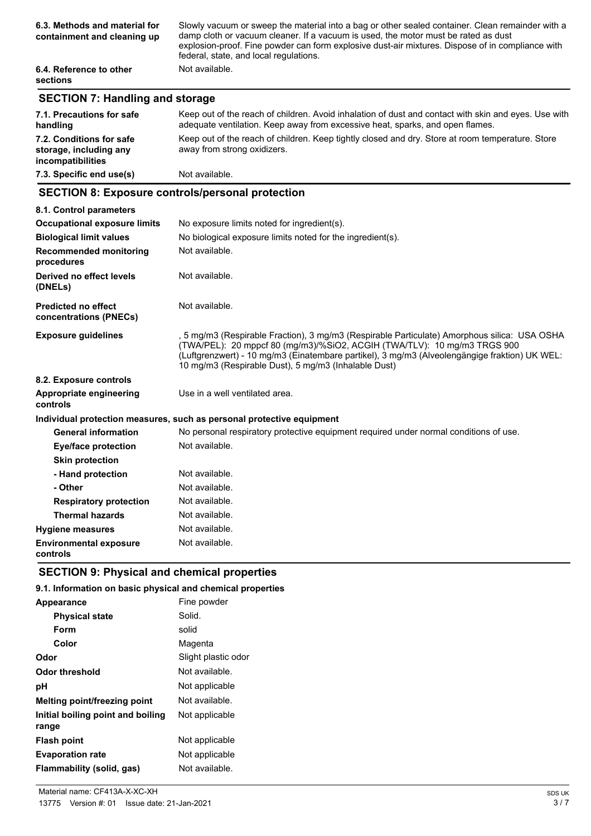| 6.3. Methods and material for<br>containment and cleaning up | Slowly vacuum or sweep the material into a bag or other sealed container. Clean remainder with a<br>damp cloth or vacuum cleaner. If a vacuum is used, the motor must be rated as dust<br>explosion-proof. Fine powder can form explosive dust-air mixtures. Dispose of in compliance with<br>federal, state, and local regulations. |
|--------------------------------------------------------------|--------------------------------------------------------------------------------------------------------------------------------------------------------------------------------------------------------------------------------------------------------------------------------------------------------------------------------------|
| 6.4. Reference to other<br><b>sections</b>                   | Not available.                                                                                                                                                                                                                                                                                                                       |

# **SECTION 7: Handling and storage**

| 7.1. Precautions for safe<br>handling                                   | Keep out of the reach of children. Avoid inhalation of dust and contact with skin and eyes. Use with<br>adequate ventilation. Keep away from excessive heat, sparks, and open flames. |
|-------------------------------------------------------------------------|---------------------------------------------------------------------------------------------------------------------------------------------------------------------------------------|
| 7.2. Conditions for safe<br>storage, including any<br>incompatibilities | Keep out of the reach of children. Keep tightly closed and dry. Store at room temperature. Store<br>away from strong oxidizers.                                                       |
| 7.3. Specific end use(s)                                                | Not available.                                                                                                                                                                        |

## **SECTION 8: Exposure controls/personal protection**

| 8.1. Control parameters                              |                                                                                                                                                                                                                                                                                                                                   |  |
|------------------------------------------------------|-----------------------------------------------------------------------------------------------------------------------------------------------------------------------------------------------------------------------------------------------------------------------------------------------------------------------------------|--|
| <b>Occupational exposure limits</b>                  | No exposure limits noted for ingredient(s).                                                                                                                                                                                                                                                                                       |  |
| <b>Biological limit values</b>                       | No biological exposure limits noted for the ingredient(s).                                                                                                                                                                                                                                                                        |  |
| <b>Recommended monitoring</b><br>procedures          | Not available.                                                                                                                                                                                                                                                                                                                    |  |
| Derived no effect levels<br>(DNELs)                  | Not available.                                                                                                                                                                                                                                                                                                                    |  |
| <b>Predicted no effect</b><br>concentrations (PNECs) | Not available.                                                                                                                                                                                                                                                                                                                    |  |
| <b>Exposure guidelines</b>                           | , 5 mg/m3 (Respirable Fraction), 3 mg/m3 (Respirable Particulate) Amorphous silica: USA OSHA<br>(TWA/PEL): 20 mppcf 80 (mg/m3)/%SiO2, ACGIH (TWA/TLV): 10 mg/m3 TRGS 900<br>(Luftgrenzwert) - 10 mg/m3 (Einatembare partikel), 3 mg/m3 (Alveolengängige fraktion) UK WEL:<br>10 mg/m3 (Respirable Dust), 5 mg/m3 (Inhalable Dust) |  |
| 8.2. Exposure controls                               |                                                                                                                                                                                                                                                                                                                                   |  |
| Appropriate engineering<br>controls                  | Use in a well ventilated area.                                                                                                                                                                                                                                                                                                    |  |
|                                                      | Individual protection measures, such as personal protective equipment                                                                                                                                                                                                                                                             |  |
| <b>General information</b>                           | No personal respiratory protective equipment required under normal conditions of use.                                                                                                                                                                                                                                             |  |
| <b>Eye/face protection</b>                           | Not available.                                                                                                                                                                                                                                                                                                                    |  |
| <b>Skin protection</b>                               |                                                                                                                                                                                                                                                                                                                                   |  |
| - Hand protection                                    | Not available.                                                                                                                                                                                                                                                                                                                    |  |
| - Other                                              | Not available.                                                                                                                                                                                                                                                                                                                    |  |
| <b>Respiratory protection</b>                        | Not available.                                                                                                                                                                                                                                                                                                                    |  |
| <b>Thermal hazards</b>                               | Not available.                                                                                                                                                                                                                                                                                                                    |  |
| <b>Hygiene measures</b>                              | Not available.                                                                                                                                                                                                                                                                                                                    |  |
| <b>Environmental exposure</b><br>controls            | Not available.                                                                                                                                                                                                                                                                                                                    |  |

# **SECTION 9: Physical and chemical properties**

# **9.1. Information on basic physical and chemical properties**

| Appearance                                 | Fine powder         |
|--------------------------------------------|---------------------|
| <b>Physical state</b>                      | Solid.              |
| Form                                       | solid               |
| Color                                      | Magenta             |
| Odor                                       | Slight plastic odor |
| Odor threshold                             | Not available.      |
| рH                                         | Not applicable      |
| <b>Melting point/freezing point</b>        | Not available.      |
| Initial boiling point and boiling<br>range | Not applicable      |
| <b>Flash point</b>                         | Not applicable      |
| <b>Evaporation rate</b>                    | Not applicable      |
| Flammability (solid, gas)                  | Not available.      |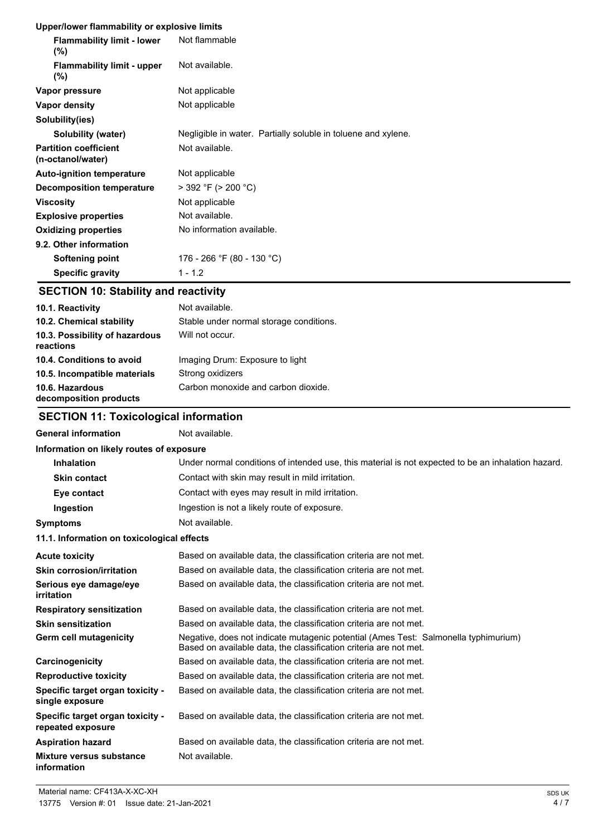### **Upper/lower flammability or explosive limits**

| <b>Flammability limit - lower</b><br>$(\% )$      | Not flammable                                                 |
|---------------------------------------------------|---------------------------------------------------------------|
| <b>Flammability limit - upper</b><br>$(\%)$       | Not available.                                                |
| Vapor pressure                                    | Not applicable                                                |
| Vapor density                                     | Not applicable                                                |
| Solubility(ies)                                   |                                                               |
| Solubility (water)                                | Negligible in water. Partially soluble in toluene and xylene. |
| <b>Partition coefficient</b><br>(n-octanol/water) | Not available.                                                |
| <b>Auto-ignition temperature</b>                  | Not applicable                                                |
| Decomposition temperature                         | $>$ 392 °F ( $>$ 200 °C)                                      |
| <b>Viscosity</b>                                  | Not applicable                                                |
| <b>Explosive properties</b>                       | Not available.                                                |
| <b>Oxidizing properties</b>                       | No information available.                                     |
| 9.2. Other information                            |                                                               |
| Softening point                                   | 176 - 266 °F (80 - 130 °C)                                    |
| <b>Specific gravity</b>                           | $1 - 1.2$                                                     |

# **SECTION 10: Stability and reactivity**

| 10.1. Reactivity                            | Not available.                          |
|---------------------------------------------|-----------------------------------------|
| 10.2. Chemical stability                    | Stable under normal storage conditions. |
| 10.3. Possibility of hazardous<br>reactions | Will not occur.                         |
| 10.4. Conditions to avoid                   | Imaging Drum: Exposure to light         |
| 10.5. Incompatible materials                | Strong oxidizers                        |
| 10.6. Hazardous<br>decomposition products   | Carbon monoxide and carbon dioxide.     |

# **SECTION 11: Toxicological information**

| <b>General information</b>                                 | Not available.                                                                                                                                           |
|------------------------------------------------------------|----------------------------------------------------------------------------------------------------------------------------------------------------------|
| Information on likely routes of exposure                   |                                                                                                                                                          |
| <b>Inhalation</b>                                          | Under normal conditions of intended use, this material is not expected to be an inhalation hazard.                                                       |
| <b>Skin contact</b>                                        | Contact with skin may result in mild irritation.                                                                                                         |
| Eye contact                                                | Contact with eyes may result in mild irritation.                                                                                                         |
| Ingestion                                                  | Ingestion is not a likely route of exposure.                                                                                                             |
| Symptoms                                                   | Not available.                                                                                                                                           |
| 11.1. Information on toxicological effects                 |                                                                                                                                                          |
| <b>Acute toxicity</b>                                      | Based on available data, the classification criteria are not met.                                                                                        |
| <b>Skin corrosion/irritation</b>                           | Based on available data, the classification criteria are not met.                                                                                        |
| Serious eye damage/eye<br>irritation                       | Based on available data, the classification criteria are not met.                                                                                        |
| <b>Respiratory sensitization</b>                           | Based on available data, the classification criteria are not met.                                                                                        |
| <b>Skin sensitization</b>                                  | Based on available data, the classification criteria are not met.                                                                                        |
| Germ cell mutagenicity                                     | Negative, does not indicate mutagenic potential (Ames Test: Salmonella typhimurium)<br>Based on available data, the classification criteria are not met. |
| Carcinogenicity                                            | Based on available data, the classification criteria are not met.                                                                                        |
| <b>Reproductive toxicity</b>                               | Based on available data, the classification criteria are not met.                                                                                        |
| <b>Specific target organ toxicity -</b><br>single exposure | Based on available data, the classification criteria are not met.                                                                                        |
| Specific target organ toxicity -<br>repeated exposure      | Based on available data, the classification criteria are not met.                                                                                        |
| Aspiration hazard                                          | Based on available data, the classification criteria are not met.                                                                                        |
| Mixture versus substance<br>information                    | Not available.                                                                                                                                           |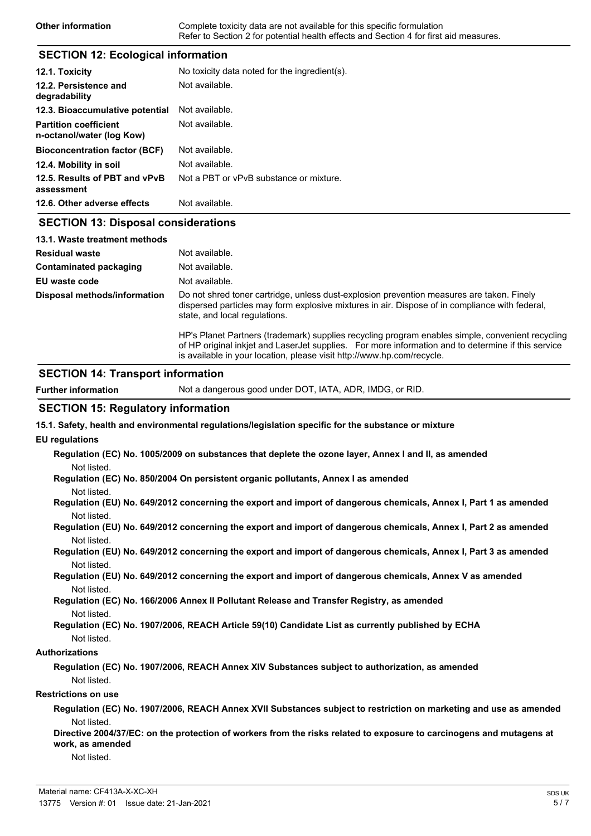| Other information | Complete toxicity data are not available for this specific formulation                |
|-------------------|---------------------------------------------------------------------------------------|
|                   | Refer to Section 2 for potential health effects and Section 4 for first aid measures. |

### **SECTION 12: Ecological information**

| 12.1. Toxicity                                            | No toxicity data noted for the ingredient(s). |
|-----------------------------------------------------------|-----------------------------------------------|
| 12.2. Persistence and<br>degradability                    | Not available.                                |
| 12.3. Bioaccumulative potential                           | Not available.                                |
| <b>Partition coefficient</b><br>n-octanol/water (log Kow) | Not available.                                |
| <b>Bioconcentration factor (BCF)</b>                      | Not available.                                |
| 12.4. Mobility in soil                                    | Not available.                                |
| 12.5. Results of PBT and vPvB<br>assessment               | Not a PBT or vPvB substance or mixture.       |
| 12.6. Other adverse effects                               | Not available.                                |
| <b>SECTION 13: Disposal considerations</b>                |                                               |
| 13.1. Waste treatment methods                             |                                               |
| Residual waste                                            | Not available.                                |
| <b>Contaminated packaging</b>                             | Not available.                                |

**EU** waste code Not available. Do not shred toner cartridge, unless dust-explosion prevention measures are taken. Finely dispersed particles may form explosive mixtures in air. Dispose of in compliance with federal, state, and local regulations. **Disposal methods/information**

> HP's Planet Partners (trademark) supplies recycling program enables simple, convenient recycling of HP original inkjet and LaserJet supplies. For more information and to determine if this service is available in your location, please visit http://www.hp.com/recycle.

### **SECTION 14: Transport information**

**Further information** Not a dangerous good under DOT, IATA, ADR, IMDG, or RID.

### **SECTION 15: Regulatory information**

**15.1. Safety, health and environmental regulations/legislation specific for the substance or mixture**

#### **EU regulations**

**Regulation (EC) No. 1005/2009 on substances that deplete the ozone layer, Annex I and II, as amended** Not listed.

**Regulation (EC) No. 850/2004 On persistent organic pollutants, Annex I as amended** Not listed.

- **Regulation (EU) No. 649/2012 concerning the export and import of dangerous chemicals, Annex I, Part 1 as amended** Not listed.
- **Regulation (EU) No. 649/2012 concerning the export and import of dangerous chemicals, Annex I, Part 2 as amended** Not listed.
- **Regulation (EU) No. 649/2012 concerning the export and import of dangerous chemicals, Annex I, Part 3 as amended** Not listed.
- **Regulation (EU) No. 649/2012 concerning the export and import of dangerous chemicals, Annex V as amended** Not listed.

**Regulation (EC) No. 166/2006 Annex II Pollutant Release and Transfer Registry, as amended** Not listed.

```
Regulation (EC) No. 1907/2006, REACH Article 59(10) Candidate List as currently published by ECHA
Not listed.
```
#### **Authorizations**

**Regulation (EC) No. 1907/2006, REACH Annex XIV Substances subject to authorization, as amended** Not listed.

#### **Restrictions on use**

**Regulation (EC) No. 1907/2006, REACH Annex XVII Substances subject to restriction on marketing and use as amended** Not listed.

**Directive 2004/37/EC: on the protection of workers from the risks related to exposure to carcinogens and mutagens at work, as amended**

Not listed.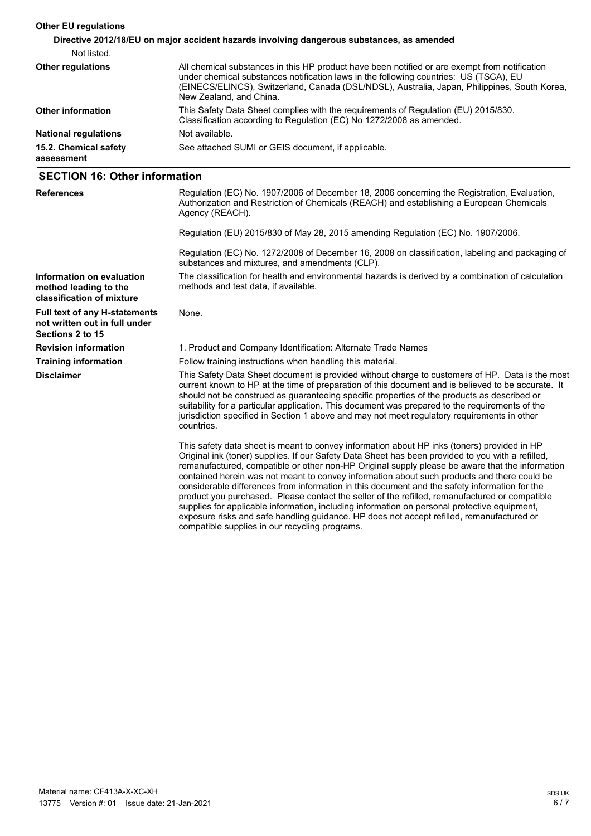| <b>Other EU regulations</b>         |                                                                                                                                                                                                                                                                                                                   |
|-------------------------------------|-------------------------------------------------------------------------------------------------------------------------------------------------------------------------------------------------------------------------------------------------------------------------------------------------------------------|
|                                     | Directive 2012/18/EU on major accident hazards involving dangerous substances, as amended                                                                                                                                                                                                                         |
| Not listed.                         |                                                                                                                                                                                                                                                                                                                   |
| <b>Other regulations</b>            | All chemical substances in this HP product have been notified or are exempt from notification<br>under chemical substances notification laws in the following countries: US (TSCA), EU<br>(EINECS/ELINCS), Switzerland, Canada (DSL/NDSL), Australia, Japan, Philippines, South Korea,<br>New Zealand, and China. |
| <b>Other information</b>            | This Safety Data Sheet complies with the requirements of Regulation (EU) 2015/830.<br>Classification according to Regulation (EC) No 1272/2008 as amended.                                                                                                                                                        |
| <b>National regulations</b>         | Not available.                                                                                                                                                                                                                                                                                                    |
| 15.2. Chemical safety<br>assessment | See attached SUMI or GEIS document, if applicable.                                                                                                                                                                                                                                                                |

## **SECTION 16: Other information**

| <b>References</b>                                                                         | Regulation (EC) No. 1907/2006 of December 18, 2006 concerning the Registration, Evaluation,<br>Authorization and Restriction of Chemicals (REACH) and establishing a European Chemicals<br>Agency (REACH).                                                                                                                                                                                                                                                                                                                                                                                            |  |  |
|-------------------------------------------------------------------------------------------|-------------------------------------------------------------------------------------------------------------------------------------------------------------------------------------------------------------------------------------------------------------------------------------------------------------------------------------------------------------------------------------------------------------------------------------------------------------------------------------------------------------------------------------------------------------------------------------------------------|--|--|
|                                                                                           | Regulation (EU) 2015/830 of May 28, 2015 amending Regulation (EC) No. 1907/2006.                                                                                                                                                                                                                                                                                                                                                                                                                                                                                                                      |  |  |
|                                                                                           | Regulation (EC) No. 1272/2008 of December 16, 2008 on classification, labeling and packaging of<br>substances and mixtures, and amendments (CLP).                                                                                                                                                                                                                                                                                                                                                                                                                                                     |  |  |
| Information on evaluation<br>method leading to the<br>classification of mixture           | The classification for health and environmental hazards is derived by a combination of calculation<br>methods and test data, if available.                                                                                                                                                                                                                                                                                                                                                                                                                                                            |  |  |
| <b>Full text of any H-statements</b><br>not written out in full under<br>Sections 2 to 15 | None.                                                                                                                                                                                                                                                                                                                                                                                                                                                                                                                                                                                                 |  |  |
| <b>Revision information</b>                                                               | 1. Product and Company Identification: Alternate Trade Names                                                                                                                                                                                                                                                                                                                                                                                                                                                                                                                                          |  |  |
| <b>Training information</b>                                                               | Follow training instructions when handling this material.                                                                                                                                                                                                                                                                                                                                                                                                                                                                                                                                             |  |  |
| <b>Disclaimer</b>                                                                         | This Safety Data Sheet document is provided without charge to customers of HP. Data is the most<br>current known to HP at the time of preparation of this document and is believed to be accurate. It<br>should not be construed as guaranteeing specific properties of the products as described or<br>suitability for a particular application. This document was prepared to the requirements of the<br>jurisdiction specified in Section 1 above and may not meet regulatory requirements in other<br>countries.                                                                                  |  |  |
|                                                                                           | This safety data sheet is meant to convey information about HP inks (toners) provided in HP<br>Original ink (toner) supplies. If our Safety Data Sheet has been provided to you with a refilled,<br>remanufactured, compatible or other non-HP Original supply please be aware that the information<br>contained herein was not meant to convey information about such products and there could be<br>considerable differences from information in this document and the safety information for the<br>product you purchased. Please contact the seller of the refilled, remanufactured or compatible |  |  |

compatible supplies in our recycling programs.

supplies for applicable information, including information on personal protective equipment, exposure risks and safe handling guidance. HP does not accept refilled, remanufactured or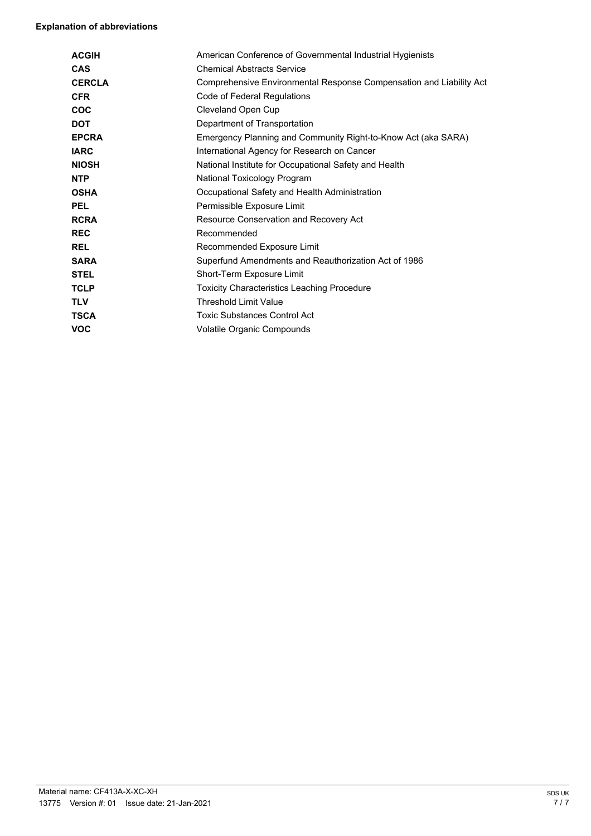### **Explanation of abbreviations**

| <b>ACGIH</b>  | American Conference of Governmental Industrial Hygienists           |
|---------------|---------------------------------------------------------------------|
| <b>CAS</b>    | <b>Chemical Abstracts Service</b>                                   |
| <b>CERCLA</b> | Comprehensive Environmental Response Compensation and Liability Act |
| <b>CFR</b>    | Code of Federal Regulations                                         |
| COC           | Cleveland Open Cup                                                  |
| <b>DOT</b>    | Department of Transportation                                        |
| <b>EPCRA</b>  | Emergency Planning and Community Right-to-Know Act (aka SARA)       |
| <b>IARC</b>   | International Agency for Research on Cancer                         |
| <b>NIOSH</b>  | National Institute for Occupational Safety and Health               |
| <b>NTP</b>    | National Toxicology Program                                         |
| <b>OSHA</b>   | Occupational Safety and Health Administration                       |
| <b>PEL</b>    | Permissible Exposure Limit                                          |
| <b>RCRA</b>   | Resource Conservation and Recovery Act                              |
| <b>REC</b>    | Recommended                                                         |
| <b>REL</b>    | Recommended Exposure Limit                                          |
| <b>SARA</b>   | Superfund Amendments and Reauthorization Act of 1986                |
| <b>STEL</b>   | Short-Term Exposure Limit                                           |
| <b>TCLP</b>   | <b>Toxicity Characteristics Leaching Procedure</b>                  |
| <b>TLV</b>    | <b>Threshold Limit Value</b>                                        |
| <b>TSCA</b>   | <b>Toxic Substances Control Act</b>                                 |
| <b>VOC</b>    | Volatile Organic Compounds                                          |
|               |                                                                     |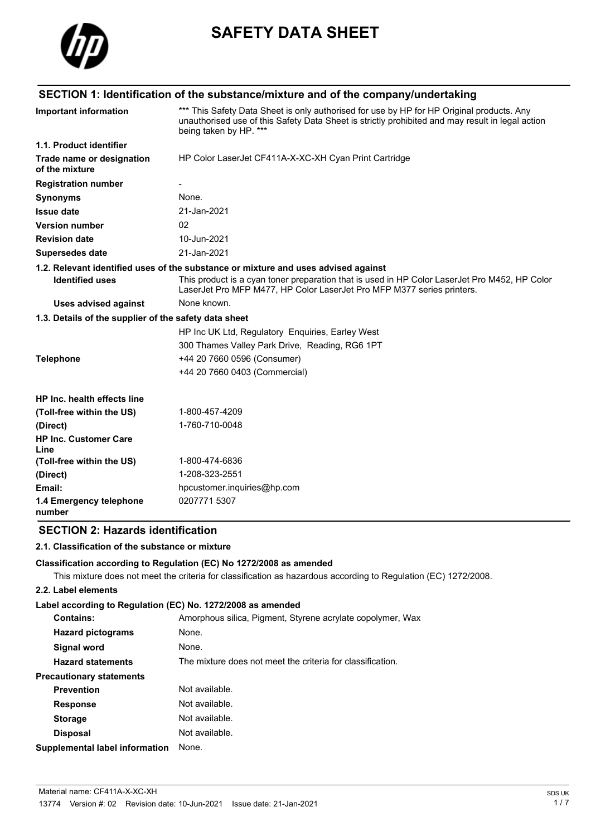

# **SAFETY DATA SHEET**

# **SECTION 1: Identification of the substance/mixture and of the company/undertaking**

| <b>Important information</b>                          | *** This Safety Data Sheet is only authorised for use by HP for HP Original products. Any<br>unauthorised use of this Safety Data Sheet is strictly prohibited and may result in legal action<br>being taken by HP. *** |
|-------------------------------------------------------|-------------------------------------------------------------------------------------------------------------------------------------------------------------------------------------------------------------------------|
| 1.1. Product identifier                               |                                                                                                                                                                                                                         |
| Trade name or designation<br>of the mixture           | HP Color LaserJet CF411A-X-XC-XH Cyan Print Cartridge                                                                                                                                                                   |
| <b>Registration number</b>                            |                                                                                                                                                                                                                         |
| <b>Synonyms</b>                                       | None.                                                                                                                                                                                                                   |
| <b>Issue date</b>                                     | 21-Jan-2021                                                                                                                                                                                                             |
| <b>Version number</b>                                 | 02                                                                                                                                                                                                                      |
| <b>Revision date</b>                                  | 10-Jun-2021                                                                                                                                                                                                             |
| <b>Supersedes date</b>                                | 21-Jan-2021                                                                                                                                                                                                             |
|                                                       | 1.2. Relevant identified uses of the substance or mixture and uses advised against                                                                                                                                      |
| <b>Identified uses</b>                                | This product is a cyan toner preparation that is used in HP Color LaserJet Pro M452, HP Color<br>LaserJet Pro MFP M477, HP Color LaserJet Pro MFP M377 series printers.                                                 |
| <b>Uses advised against</b>                           | None known.                                                                                                                                                                                                             |
| 1.3. Details of the supplier of the safety data sheet |                                                                                                                                                                                                                         |
|                                                       | HP Inc UK Ltd, Regulatory Enquiries, Earley West                                                                                                                                                                        |
|                                                       | 300 Thames Valley Park Drive, Reading, RG6 1PT                                                                                                                                                                          |
| <b>Telephone</b>                                      | +44 20 7660 0596 (Consumer)                                                                                                                                                                                             |
|                                                       | +44 20 7660 0403 (Commercial)                                                                                                                                                                                           |
| HP Inc. health effects line                           |                                                                                                                                                                                                                         |
| (Toll-free within the US)                             | 1-800-457-4209                                                                                                                                                                                                          |
| (Direct)                                              | 1-760-710-0048                                                                                                                                                                                                          |
| <b>HP Inc. Customer Care</b><br>Line                  |                                                                                                                                                                                                                         |
| (Toll-free within the US)                             | 1-800-474-6836                                                                                                                                                                                                          |
| (Direct)                                              | 1-208-323-2551                                                                                                                                                                                                          |
| Email:                                                | hpcustomer.inquiries@hp.com                                                                                                                                                                                             |
| 1.4 Emergency telephone<br>number                     | 0207771 5307                                                                                                                                                                                                            |

# **SECTION 2: Hazards identification**

#### **2.1. Classification of the substance or mixture**

#### **Classification according to Regulation (EC) No 1272/2008 as amended**

This mixture does not meet the criteria for classification as hazardous according to Regulation (EC) 1272/2008.

### **2.2. Label elements**

### **Label according to Regulation (EC) No. 1272/2008 as amended**

| <b>Contains:</b>                      | Amorphous silica, Pigment, Styrene acrylate copolymer, Wax |
|---------------------------------------|------------------------------------------------------------|
| <b>Hazard pictograms</b>              | None.                                                      |
| Signal word                           | None.                                                      |
| <b>Hazard statements</b>              | The mixture does not meet the criteria for classification. |
| <b>Precautionary statements</b>       |                                                            |
| <b>Prevention</b>                     | Not available.                                             |
| <b>Response</b>                       | Not available.                                             |
| <b>Storage</b>                        | Not available.                                             |
| <b>Disposal</b>                       | Not available.                                             |
| <b>Supplemental label information</b> | None.                                                      |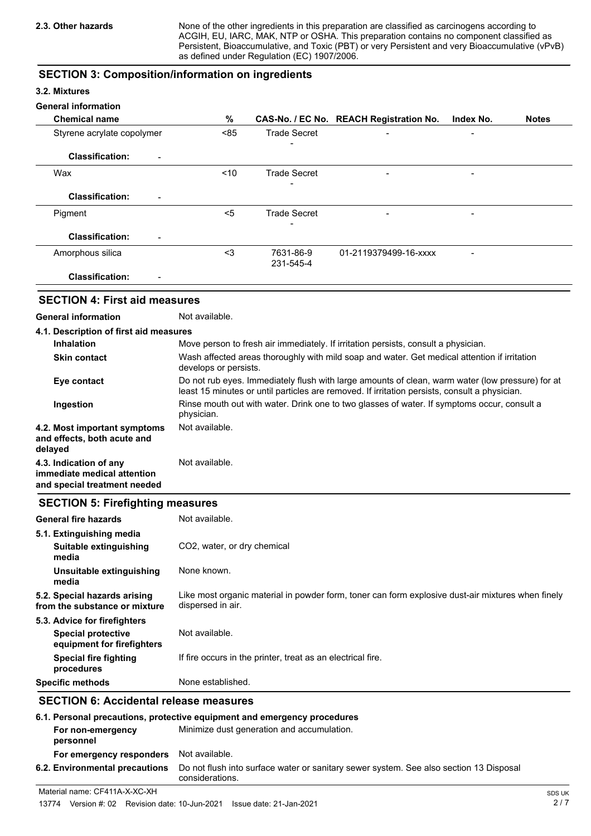None of the other ingredients in this preparation are classified as carcinogens according to ACGIH, EU, IARC, MAK, NTP or OSHA. This preparation contains no component classified as Persistent, Bioaccumulative, and Toxic (PBT) or very Persistent and very Bioaccumulative (vPvB) as defined under Regulation (EC) 1907/2006.

### **SECTION 3: Composition/information on ingredients**

### **3.2. Mixtures**

#### **General information**

| <b>Chemical name</b>                               | %    |                        | CAS-No. / EC No. REACH Registration No. | Index No.                | <b>Notes</b> |
|----------------------------------------------------|------|------------------------|-----------------------------------------|--------------------------|--------------|
| Styrene acrylate copolymer                         | < 85 | <b>Trade Secret</b>    | $\blacksquare$                          | $\overline{\phantom{0}}$ |              |
| <b>Classification:</b><br>$\blacksquare$           |      | -                      |                                         |                          |              |
| Wax                                                | ~10  | <b>Trade Secret</b>    | $\overline{\phantom{0}}$                |                          |              |
| <b>Classification:</b><br>$\blacksquare$           |      | -                      |                                         |                          |              |
| Pigment                                            | $5$  | <b>Trade Secret</b>    |                                         | $\qquad \qquad$          |              |
| <b>Classification:</b><br>$\overline{\phantom{0}}$ |      |                        |                                         |                          |              |
| Amorphous silica                                   | $3$  | 7631-86-9<br>231-545-4 | 01-2119379499-16-xxxx                   |                          |              |
| <b>Classification:</b><br>$\qquad \qquad$          |      |                        |                                         |                          |              |

## **SECTION 4: First aid measures**

### **General information** Not available.

| 4.1. Description of first aid measures                                                                  |                                                                                                                                                                                                   |  |
|---------------------------------------------------------------------------------------------------------|---------------------------------------------------------------------------------------------------------------------------------------------------------------------------------------------------|--|
| Move person to fresh air immediately. If irritation persists, consult a physician.<br><b>Inhalation</b> |                                                                                                                                                                                                   |  |
| <b>Skin contact</b>                                                                                     | Wash affected areas thoroughly with mild soap and water. Get medical attention if irritation<br>develops or persists.                                                                             |  |
| Eye contact                                                                                             | Do not rub eyes. Immediately flush with large amounts of clean, warm water (low pressure) for at<br>least 15 minutes or until particles are removed. If irritation persists, consult a physician. |  |
| Ingestion                                                                                               | Rinse mouth out with water. Drink one to two glasses of water. If symptoms occur, consult a<br>physician.                                                                                         |  |
| 4.2. Most important symptoms<br>and effects, both acute and<br>delayed                                  | Not available.                                                                                                                                                                                    |  |
| 4.3. Indication of any<br>immediate medical attention<br>and special treatment needed                   | Not available.                                                                                                                                                                                    |  |

### **SECTION 5: Firefighting measures**

| <b>General fire hazards</b>                                                             | Not available.                                                                                                         |
|-----------------------------------------------------------------------------------------|------------------------------------------------------------------------------------------------------------------------|
| 5.1. Extinguishing media<br>Suitable extinguishing<br>media                             | CO <sub>2</sub> , water, or dry chemical                                                                               |
| Unsuitable extinguishing<br>media                                                       | None known.                                                                                                            |
| 5.2. Special hazards arising<br>from the substance or mixture                           | Like most organic material in powder form, toner can form explosive dust-air mixtures when finely<br>dispersed in air. |
| 5.3. Advice for firefighters<br><b>Special protective</b><br>equipment for firefighters | Not available.                                                                                                         |
| Special fire fighting<br>procedures                                                     | If fire occurs in the printer, treat as an electrical fire.                                                            |
| <b>Specific methods</b>                                                                 | None established.                                                                                                      |

# **SECTION 6: Accidental release measures**

| 6.1. Personal precautions, protective equipment and emergency procedures |                                                                                                           |  |
|--------------------------------------------------------------------------|-----------------------------------------------------------------------------------------------------------|--|
| For non-emergency<br>personnel                                           | Minimize dust generation and accumulation.                                                                |  |
| For emergency responders                                                 | Not available.                                                                                            |  |
| 6.2. Environmental precautions                                           | Do not flush into surface water or sanitary sewer system. See also section 13 Disposal<br>considerations. |  |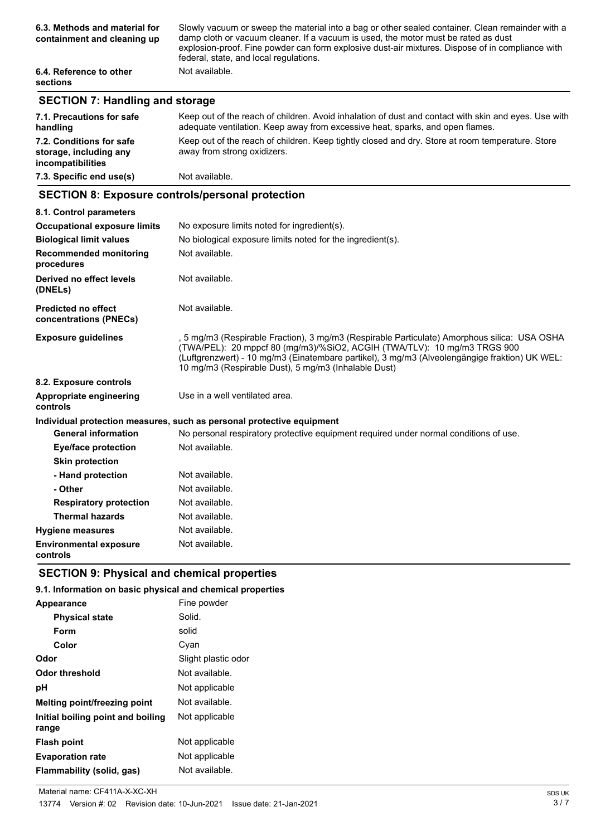| 6.3. Methods and material for<br>containment and cleaning up | Slowly vacuum or sweep the material into a bag or other sealed container. Clean remainder with a<br>damp cloth or vacuum cleaner. If a vacuum is used, the motor must be rated as dust<br>explosion-proof. Fine powder can form explosive dust-air mixtures. Dispose of in compliance with<br>federal, state, and local regulations. |  |
|--------------------------------------------------------------|--------------------------------------------------------------------------------------------------------------------------------------------------------------------------------------------------------------------------------------------------------------------------------------------------------------------------------------|--|
| 6.4. Reference to other<br><b>sections</b>                   | Not available.                                                                                                                                                                                                                                                                                                                       |  |

# **SECTION 7: Handling and storage**

| 7.1. Precautions for safe<br>handling                                   | Keep out of the reach of children. Avoid inhalation of dust and contact with skin and eyes. Use with<br>adequate ventilation. Keep away from excessive heat, sparks, and open flames. |
|-------------------------------------------------------------------------|---------------------------------------------------------------------------------------------------------------------------------------------------------------------------------------|
| 7.2. Conditions for safe<br>storage, including any<br>incompatibilities | Keep out of the reach of children. Keep tightly closed and dry. Store at room temperature. Store<br>away from strong oxidizers.                                                       |
| 7.3. Specific end use(s)                                                | Not available.                                                                                                                                                                        |

# **SECTION 8: Exposure controls/personal protection**

| 8.1. Control parameters                              |                                                                                                                                                                                                                                                                                                                                   |
|------------------------------------------------------|-----------------------------------------------------------------------------------------------------------------------------------------------------------------------------------------------------------------------------------------------------------------------------------------------------------------------------------|
| <b>Occupational exposure limits</b>                  | No exposure limits noted for ingredient(s).                                                                                                                                                                                                                                                                                       |
| <b>Biological limit values</b>                       | No biological exposure limits noted for the ingredient(s).                                                                                                                                                                                                                                                                        |
| <b>Recommended monitoring</b><br>procedures          | Not available.                                                                                                                                                                                                                                                                                                                    |
| Derived no effect levels<br>(DNELs)                  | Not available.                                                                                                                                                                                                                                                                                                                    |
| <b>Predicted no effect</b><br>concentrations (PNECs) | Not available.                                                                                                                                                                                                                                                                                                                    |
| <b>Exposure guidelines</b>                           | , 5 mg/m3 (Respirable Fraction), 3 mg/m3 (Respirable Particulate) Amorphous silica: USA OSHA<br>(TWA/PEL): 20 mppcf 80 (mg/m3)/%SiO2, ACGIH (TWA/TLV): 10 mg/m3 TRGS 900<br>(Luftgrenzwert) - 10 mg/m3 (Einatembare partikel), 3 mg/m3 (Alveolengängige fraktion) UK WEL:<br>10 mg/m3 (Respirable Dust), 5 mg/m3 (Inhalable Dust) |
| 8.2. Exposure controls                               |                                                                                                                                                                                                                                                                                                                                   |
| Appropriate engineering<br>controls                  | Use in a well ventilated area.                                                                                                                                                                                                                                                                                                    |
|                                                      | Individual protection measures, such as personal protective equipment                                                                                                                                                                                                                                                             |
| <b>General information</b>                           | No personal respiratory protective equipment required under normal conditions of use.                                                                                                                                                                                                                                             |
| <b>Eye/face protection</b>                           | Not available.                                                                                                                                                                                                                                                                                                                    |
| <b>Skin protection</b>                               |                                                                                                                                                                                                                                                                                                                                   |
| - Hand protection                                    | Not available.                                                                                                                                                                                                                                                                                                                    |
| - Other                                              | Not available.                                                                                                                                                                                                                                                                                                                    |
| <b>Respiratory protection</b>                        | Not available.                                                                                                                                                                                                                                                                                                                    |
| <b>Thermal hazards</b>                               | Not available.                                                                                                                                                                                                                                                                                                                    |
| <b>Hygiene measures</b>                              | Not available.                                                                                                                                                                                                                                                                                                                    |
| <b>Environmental exposure</b><br>controls            | Not available.                                                                                                                                                                                                                                                                                                                    |

# **SECTION 9: Physical and chemical properties**

### **9.1. Information on basic physical and chemical properties**

| Appearance                                 | Fine powder         |
|--------------------------------------------|---------------------|
| <b>Physical state</b>                      | Solid.              |
| Form                                       | solid               |
| Color                                      | Cyan                |
| Odor                                       | Slight plastic odor |
| <b>Odor threshold</b>                      | Not available.      |
| рH                                         | Not applicable      |
| <b>Melting point/freezing point</b>        | Not available.      |
| Initial boiling point and boiling<br>range | Not applicable      |
| <b>Flash point</b>                         | Not applicable      |
| <b>Evaporation rate</b>                    | Not applicable      |
| Flammability (solid, gas)                  | Not available.      |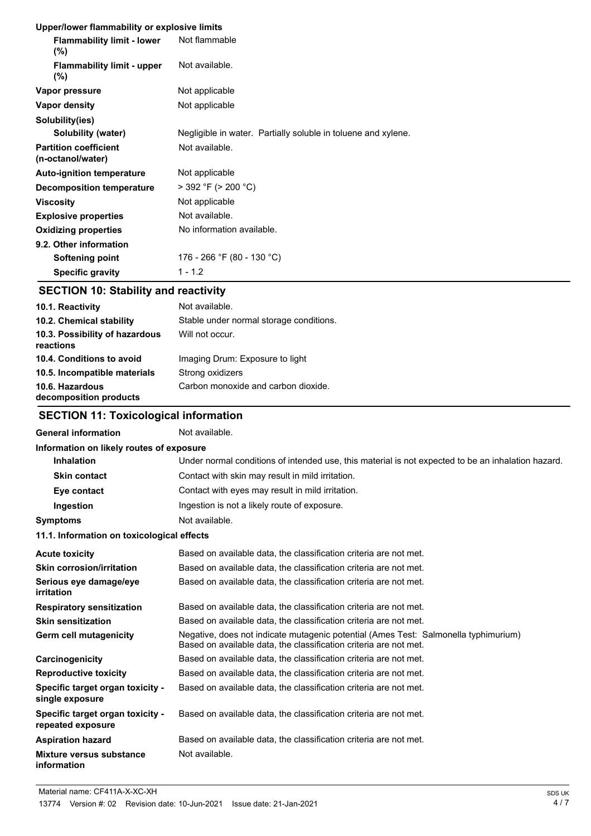|  | Upper/lower flammability or explosive limits |  |  |
|--|----------------------------------------------|--|--|
|  |                                              |  |  |

| <b>Oppenower nanimability or explosive illints</b> |                                                               |
|----------------------------------------------------|---------------------------------------------------------------|
| <b>Flammability limit - lower</b><br>(%)           | Not flammable                                                 |
| <b>Flammability limit - upper</b><br>(%)           | Not available.                                                |
| Vapor pressure                                     | Not applicable                                                |
| Vapor density                                      | Not applicable                                                |
| Solubility(ies)                                    |                                                               |
| Solubility (water)                                 | Negligible in water. Partially soluble in toluene and xylene. |
| <b>Partition coefficient</b><br>(n-octanol/water)  | Not available.                                                |
| <b>Auto-ignition temperature</b>                   | Not applicable                                                |
| Decomposition temperature                          | $>$ 392 °F ( $>$ 200 °C)                                      |
| <b>Viscosity</b>                                   | Not applicable                                                |
| <b>Explosive properties</b>                        | Not available.                                                |
| <b>Oxidizing properties</b>                        | No information available.                                     |
| 9.2. Other information                             |                                                               |
| Softening point                                    | 176 - 266 °F (80 - 130 °C)                                    |
| <b>Specific gravity</b>                            | $1 - 1.2$                                                     |

# **SECTION 10: Stability and reactivity**

| 10.1. Reactivity                            | Not available.                          |
|---------------------------------------------|-----------------------------------------|
| 10.2. Chemical stability                    | Stable under normal storage conditions. |
| 10.3. Possibility of hazardous<br>reactions | Will not occur.                         |
| 10.4. Conditions to avoid                   | Imaging Drum: Exposure to light         |
| 10.5. Incompatible materials                | Strong oxidizers                        |
| 10.6. Hazardous<br>decomposition products   | Carbon monoxide and carbon dioxide.     |

# **SECTION 11: Toxicological information**

# General information **Not** available.

| Information on likely routes of exposure                     |                                                                                                                                                          |
|--------------------------------------------------------------|----------------------------------------------------------------------------------------------------------------------------------------------------------|
| <b>Inhalation</b>                                            | Under normal conditions of intended use, this material is not expected to be an inhalation hazard.                                                       |
| <b>Skin contact</b>                                          | Contact with skin may result in mild irritation.                                                                                                         |
| Eye contact                                                  | Contact with eyes may result in mild irritation.                                                                                                         |
| Ingestion                                                    | Ingestion is not a likely route of exposure.                                                                                                             |
| Symptoms                                                     | Not available.                                                                                                                                           |
| 11.1. Information on toxicological effects                   |                                                                                                                                                          |
| Acute toxicity                                               | Based on available data, the classification criteria are not met.                                                                                        |
| Skin corrosion/irritation                                    | Based on available data, the classification criteria are not met.                                                                                        |
| Serious eye damage/eye<br>irritation                         | Based on available data, the classification criteria are not met.                                                                                        |
| <b>Respiratory sensitization</b>                             | Based on available data, the classification criteria are not met.                                                                                        |
| Skin sensitization                                           | Based on available data, the classification criteria are not met.                                                                                        |
| Germ cell mutagenicity                                       | Negative, does not indicate mutagenic potential (Ames Test: Salmonella typhimurium)<br>Based on available data, the classification criteria are not met. |
| Carcinogenicity                                              | Based on available data, the classification criteria are not met.                                                                                        |
| <b>Reproductive toxicity</b>                                 | Based on available data, the classification criteria are not met.                                                                                        |
| <b>Specific target organ toxicity -</b><br>single exposure   | Based on available data, the classification criteria are not met.                                                                                        |
| <b>Specific target organ toxicity -</b><br>repeated exposure | Based on available data, the classification criteria are not met.                                                                                        |
| Aspiration hazard                                            | Based on available data, the classification criteria are not met.                                                                                        |
| Mixture versus substance<br>information                      | Not available.                                                                                                                                           |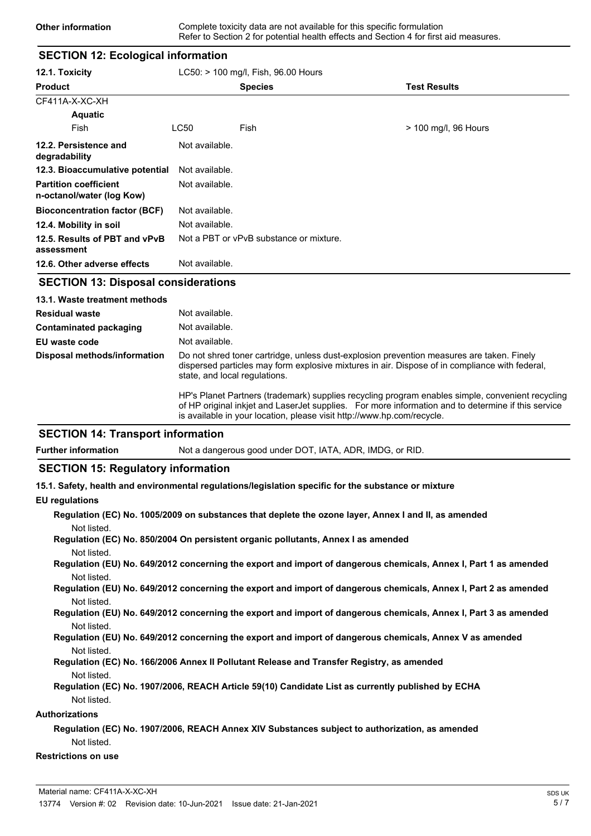### **SECTION 12: Ecological information**

| 12.1. Toxicity                                            |                | LC50: > 100 mg/l, Fish, 96.00 Hours     |                      |
|-----------------------------------------------------------|----------------|-----------------------------------------|----------------------|
| <b>Product</b>                                            |                | <b>Species</b>                          | <b>Test Results</b>  |
| CF411A-X-XC-XH                                            |                |                                         |                      |
| <b>Aquatic</b>                                            |                |                                         |                      |
| Fish                                                      | LC50           | Fish                                    | > 100 mg/l, 96 Hours |
| 12.2. Persistence and<br>degradability                    | Not available. |                                         |                      |
| 12.3. Bioaccumulative potential                           | Not available. |                                         |                      |
| <b>Partition coefficient</b><br>n-octanol/water (log Kow) | Not available. |                                         |                      |
| <b>Bioconcentration factor (BCF)</b>                      | Not available. |                                         |                      |
| 12.4. Mobility in soil                                    | Not available. |                                         |                      |
| 12.5. Results of PBT and vPvB<br>assessment               |                | Not a PBT or vPvB substance or mixture. |                      |
| 12.6. Other adverse effects                               | Not available. |                                         |                      |

### **SECTION 13: Disposal considerations**

| 13.1. Waste treatment methods |                                                                                                                                                                                                                                                                                  |
|-------------------------------|----------------------------------------------------------------------------------------------------------------------------------------------------------------------------------------------------------------------------------------------------------------------------------|
| <b>Residual waste</b>         | Not available.                                                                                                                                                                                                                                                                   |
| Contaminated packaging        | Not available.                                                                                                                                                                                                                                                                   |
| EU waste code                 | Not available.                                                                                                                                                                                                                                                                   |
| Disposal methods/information  | Do not shred toner cartridge, unless dust-explosion prevention measures are taken. Finely<br>dispersed particles may form explosive mixtures in air. Dispose of in compliance with federal,<br>state, and local regulations.                                                     |
|                               | HP's Planet Partners (trademark) supplies recycling program enables simple, convenient recycling<br>of HP original inkiet and LaserJet supplies. For more information and to determine if this service<br>is available in your location, please visit http://www.hp.com/recycle. |

### **SECTION 14: Transport information**

**Further information** Not a dangerous good under DOT, IATA, ADR, IMDG, or RID.

### **SECTION 15: Regulatory information**

**15.1. Safety, health and environmental regulations/legislation specific for the substance or mixture**

#### **EU regulations**

|             | Regulation (EC) No. 1005/2009 on substances that deplete the ozone layer, Annex I and II, as amended |  |
|-------------|------------------------------------------------------------------------------------------------------|--|
| Not listed. |                                                                                                      |  |

**Regulation (EC) No. 850/2004 On persistent organic pollutants, Annex I as amended** Not listed.

**Regulation (EU) No. 649/2012 concerning the export and import of dangerous chemicals, Annex I, Part 1 as amended** Not listed.

**Regulation (EU) No. 649/2012 concerning the export and import of dangerous chemicals, Annex I, Part 2 as amended** Not listed.

**Regulation (EU) No. 649/2012 concerning the export and import of dangerous chemicals, Annex I, Part 3 as amended** Not listed.

#### **Regulation (EU) No. 649/2012 concerning the export and import of dangerous chemicals, Annex V as amended** Not listed.

- **Regulation (EC) No. 166/2006 Annex II Pollutant Release and Transfer Registry, as amended** Not listed.
- **Regulation (EC) No. 1907/2006, REACH Article 59(10) Candidate List as currently published by ECHA** Not listed.

#### **Authorizations**

### **Regulation (EC) No. 1907/2006, REACH Annex XIV Substances subject to authorization, as amended** Not listed.

### **Restrictions on use**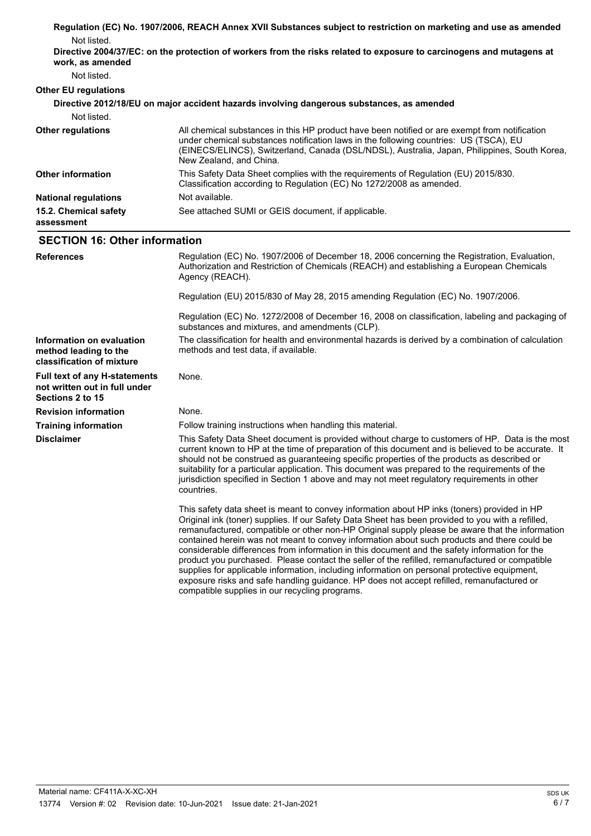|                                                                                           | Regulation (EC) No. 1907/2006, REACH Annex XVII Substances subject to restriction on marketing and use as amended                                                                                                                                                                                                                                                                                                                                                                                                                                                                                                                                                                                     |  |
|-------------------------------------------------------------------------------------------|-------------------------------------------------------------------------------------------------------------------------------------------------------------------------------------------------------------------------------------------------------------------------------------------------------------------------------------------------------------------------------------------------------------------------------------------------------------------------------------------------------------------------------------------------------------------------------------------------------------------------------------------------------------------------------------------------------|--|
| Not listed.                                                                               |                                                                                                                                                                                                                                                                                                                                                                                                                                                                                                                                                                                                                                                                                                       |  |
| work, as amended                                                                          | Directive 2004/37/EC: on the protection of workers from the risks related to exposure to carcinogens and mutagens at                                                                                                                                                                                                                                                                                                                                                                                                                                                                                                                                                                                  |  |
| Not listed.                                                                               |                                                                                                                                                                                                                                                                                                                                                                                                                                                                                                                                                                                                                                                                                                       |  |
| <b>Other EU regulations</b>                                                               |                                                                                                                                                                                                                                                                                                                                                                                                                                                                                                                                                                                                                                                                                                       |  |
|                                                                                           | Directive 2012/18/EU on major accident hazards involving dangerous substances, as amended                                                                                                                                                                                                                                                                                                                                                                                                                                                                                                                                                                                                             |  |
| Not listed.                                                                               |                                                                                                                                                                                                                                                                                                                                                                                                                                                                                                                                                                                                                                                                                                       |  |
| <b>Other regulations</b>                                                                  | All chemical substances in this HP product have been notified or are exempt from notification<br>under chemical substances notification laws in the following countries: US (TSCA), EU<br>(EINECS/ELINCS), Switzerland, Canada (DSL/NDSL), Australia, Japan, Philippines, South Korea,<br>New Zealand, and China.                                                                                                                                                                                                                                                                                                                                                                                     |  |
| <b>Other information</b>                                                                  | This Safety Data Sheet complies with the requirements of Regulation (EU) 2015/830.<br>Classification according to Regulation (EC) No 1272/2008 as amended.                                                                                                                                                                                                                                                                                                                                                                                                                                                                                                                                            |  |
| <b>National regulations</b>                                                               | Not available.                                                                                                                                                                                                                                                                                                                                                                                                                                                                                                                                                                                                                                                                                        |  |
| 15.2. Chemical safety<br>assessment                                                       | See attached SUMI or GEIS document, if applicable.                                                                                                                                                                                                                                                                                                                                                                                                                                                                                                                                                                                                                                                    |  |
| <b>SECTION 16: Other information</b>                                                      |                                                                                                                                                                                                                                                                                                                                                                                                                                                                                                                                                                                                                                                                                                       |  |
| <b>References</b>                                                                         | Regulation (EC) No. 1907/2006 of December 18, 2006 concerning the Registration, Evaluation,<br>Authorization and Restriction of Chemicals (REACH) and establishing a European Chemicals<br>Agency (REACH).                                                                                                                                                                                                                                                                                                                                                                                                                                                                                            |  |
|                                                                                           | Regulation (EU) 2015/830 of May 28, 2015 amending Regulation (EC) No. 1907/2006.                                                                                                                                                                                                                                                                                                                                                                                                                                                                                                                                                                                                                      |  |
|                                                                                           | Regulation (EC) No. 1272/2008 of December 16, 2008 on classification, labeling and packaging of<br>substances and mixtures, and amendments (CLP).                                                                                                                                                                                                                                                                                                                                                                                                                                                                                                                                                     |  |
| Information on evaluation<br>method leading to the<br>classification of mixture           | The classification for health and environmental hazards is derived by a combination of calculation<br>methods and test data, if available.                                                                                                                                                                                                                                                                                                                                                                                                                                                                                                                                                            |  |
| <b>Full text of any H-statements</b><br>not written out in full under<br>Sections 2 to 15 | None.                                                                                                                                                                                                                                                                                                                                                                                                                                                                                                                                                                                                                                                                                                 |  |
| <b>Revision information</b>                                                               | None.                                                                                                                                                                                                                                                                                                                                                                                                                                                                                                                                                                                                                                                                                                 |  |
| <b>Training information</b>                                                               | Follow training instructions when handling this material.                                                                                                                                                                                                                                                                                                                                                                                                                                                                                                                                                                                                                                             |  |
| <b>Disclaimer</b>                                                                         | This Safety Data Sheet document is provided without charge to customers of HP. Data is the most<br>current known to HP at the time of preparation of this document and is believed to be accurate. It<br>should not be construed as guaranteeing specific properties of the products as described or<br>suitability for a particular application. This document was prepared to the requirements of the<br>jurisdiction specified in Section 1 above and may not meet regulatory requirements in other<br>countries.                                                                                                                                                                                  |  |
|                                                                                           | This safety data sheet is meant to convey information about HP inks (toners) provided in HP<br>Original ink (toner) supplies. If our Safety Data Sheet has been provided to you with a refilled,<br>remanufactured, compatible or other non-HP Original supply please be aware that the information<br>contained herein was not meant to convey information about such products and there could be<br>considerable differences from information in this document and the safety information for the<br>product you purchased. Please contact the seller of the refilled, remanufactured or compatible<br>supplies for applicable information, including information on personal protective equipment, |  |

exposure risks and safe handling guidance. HP does not accept refilled, remanufactured or

compatible supplies in our recycling programs.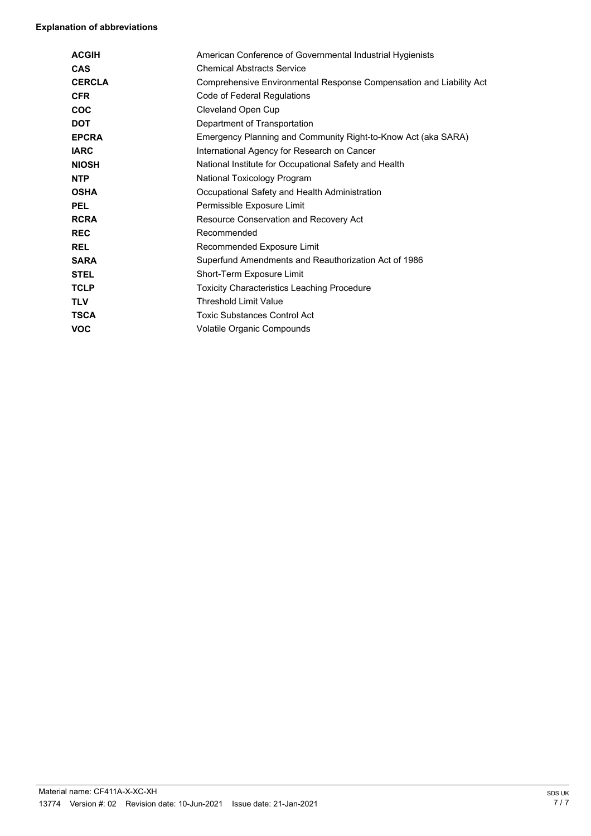### **Explanation of abbreviations**

| <b>ACGIH</b>  | American Conference of Governmental Industrial Hygienists           |
|---------------|---------------------------------------------------------------------|
| CAS           | <b>Chemical Abstracts Service</b>                                   |
| <b>CERCLA</b> | Comprehensive Environmental Response Compensation and Liability Act |
| <b>CFR</b>    | Code of Federal Regulations                                         |
| <b>COC</b>    | Cleveland Open Cup                                                  |
| <b>DOT</b>    | Department of Transportation                                        |
| <b>EPCRA</b>  | Emergency Planning and Community Right-to-Know Act (aka SARA)       |
| <b>IARC</b>   | International Agency for Research on Cancer                         |
| <b>NIOSH</b>  | National Institute for Occupational Safety and Health               |
| <b>NTP</b>    | National Toxicology Program                                         |
| <b>OSHA</b>   | Occupational Safety and Health Administration                       |
| <b>PEL</b>    | Permissible Exposure Limit                                          |
| <b>RCRA</b>   | Resource Conservation and Recovery Act                              |
| <b>REC</b>    | Recommended                                                         |
| <b>REL</b>    | Recommended Exposure Limit                                          |
| <b>SARA</b>   | Superfund Amendments and Reauthorization Act of 1986                |
| <b>STEL</b>   | Short-Term Exposure Limit                                           |
| <b>TCLP</b>   | <b>Toxicity Characteristics Leaching Procedure</b>                  |
| <b>TLV</b>    | <b>Threshold Limit Value</b>                                        |
| <b>TSCA</b>   | <b>Toxic Substances Control Act</b>                                 |
| <b>VOC</b>    | Volatile Organic Compounds                                          |
|               |                                                                     |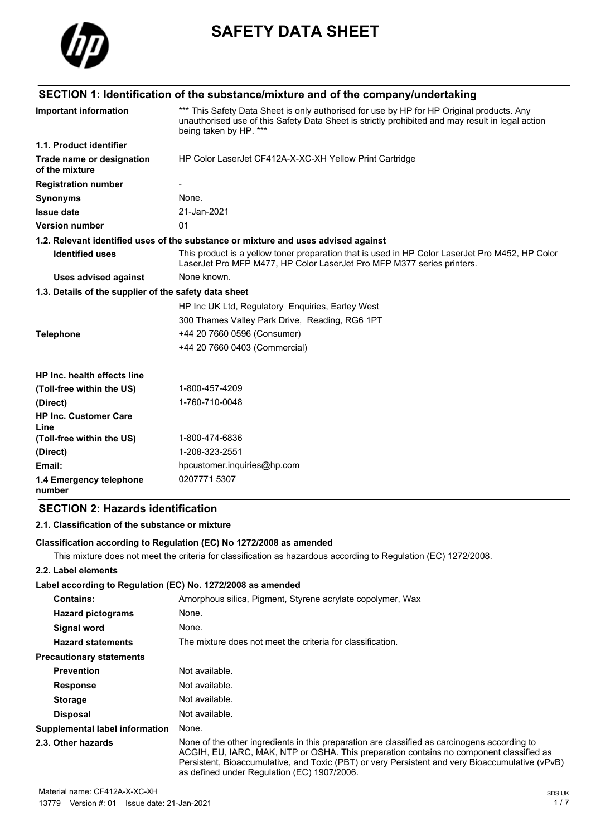

# **SAFETY DATA SHEET**

|                                                       | SECTION 1: Identification of the substance/mixture and of the company/undertaking                                                                                                                                       |
|-------------------------------------------------------|-------------------------------------------------------------------------------------------------------------------------------------------------------------------------------------------------------------------------|
| Important information                                 | *** This Safety Data Sheet is only authorised for use by HP for HP Original products. Any<br>unauthorised use of this Safety Data Sheet is strictly prohibited and may result in legal action<br>being taken by HP. *** |
| 1.1. Product identifier                               |                                                                                                                                                                                                                         |
| Trade name or designation<br>of the mixture           | HP Color LaserJet CF412A-X-XC-XH Yellow Print Cartridge                                                                                                                                                                 |
| <b>Registration number</b>                            |                                                                                                                                                                                                                         |
| <b>Synonyms</b>                                       | None.                                                                                                                                                                                                                   |
| <b>Issue date</b>                                     | 21-Jan-2021                                                                                                                                                                                                             |
| <b>Version number</b>                                 | 01                                                                                                                                                                                                                      |
|                                                       | 1.2. Relevant identified uses of the substance or mixture and uses advised against                                                                                                                                      |
| <b>Identified uses</b>                                | This product is a yellow toner preparation that is used in HP Color LaserJet Pro M452, HP Color<br>LaserJet Pro MFP M477, HP Color LaserJet Pro MFP M377 series printers.                                               |
| <b>Uses advised against</b>                           | None known.                                                                                                                                                                                                             |
| 1.3. Details of the supplier of the safety data sheet |                                                                                                                                                                                                                         |
|                                                       | HP Inc UK Ltd, Regulatory Enquiries, Earley West                                                                                                                                                                        |
|                                                       | 300 Thames Valley Park Drive, Reading, RG6 1PT                                                                                                                                                                          |
| <b>Telephone</b>                                      | +44 20 7660 0596 (Consumer)                                                                                                                                                                                             |
|                                                       | +44 20 7660 0403 (Commercial)                                                                                                                                                                                           |
| HP Inc. health effects line                           |                                                                                                                                                                                                                         |
| (Toll-free within the US)                             | 1-800-457-4209                                                                                                                                                                                                          |
| (Direct)                                              | 1-760-710-0048                                                                                                                                                                                                          |
| <b>HP Inc. Customer Care</b><br>Line                  |                                                                                                                                                                                                                         |
| (Toll-free within the US)                             | 1-800-474-6836                                                                                                                                                                                                          |
| (Direct)                                              | 1-208-323-2551                                                                                                                                                                                                          |
| Email:                                                | hpcustomer.inquiries@hp.com                                                                                                                                                                                             |
| 1.4 Emergency telephone<br>number                     | 0207771 5307                                                                                                                                                                                                            |

# **SECTION 2: Hazards identification**

#### **2.1. Classification of the substance or mixture**

#### **Classification according to Regulation (EC) No 1272/2008 as amended**

This mixture does not meet the criteria for classification as hazardous according to Regulation (EC) 1272/2008.

### **2.2. Label elements**

### **Label according to Regulation (EC) No. 1272/2008 as amended**

| <b>Contains:</b>                      | Amorphous silica, Pigment, Styrene acrylate copolymer, Wax                                                                                                                                                                                                                                                                                |
|---------------------------------------|-------------------------------------------------------------------------------------------------------------------------------------------------------------------------------------------------------------------------------------------------------------------------------------------------------------------------------------------|
| <b>Hazard pictograms</b>              | None.                                                                                                                                                                                                                                                                                                                                     |
| Signal word                           | None.                                                                                                                                                                                                                                                                                                                                     |
| <b>Hazard statements</b>              | The mixture does not meet the criteria for classification.                                                                                                                                                                                                                                                                                |
| <b>Precautionary statements</b>       |                                                                                                                                                                                                                                                                                                                                           |
| <b>Prevention</b>                     | Not available.                                                                                                                                                                                                                                                                                                                            |
| <b>Response</b>                       | Not available.                                                                                                                                                                                                                                                                                                                            |
| <b>Storage</b>                        | Not available.                                                                                                                                                                                                                                                                                                                            |
| <b>Disposal</b>                       | Not available.                                                                                                                                                                                                                                                                                                                            |
| <b>Supplemental label information</b> | None.                                                                                                                                                                                                                                                                                                                                     |
| 2.3. Other hazards                    | None of the other ingredients in this preparation are classified as carcinogens according to<br>ACGIH, EU, IARC, MAK, NTP or OSHA. This preparation contains no component classified as<br>Persistent, Bioaccumulative, and Toxic (PBT) or very Persistent and very Bioaccumulative (vPvB)<br>as defined under Regulation (EC) 1907/2006. |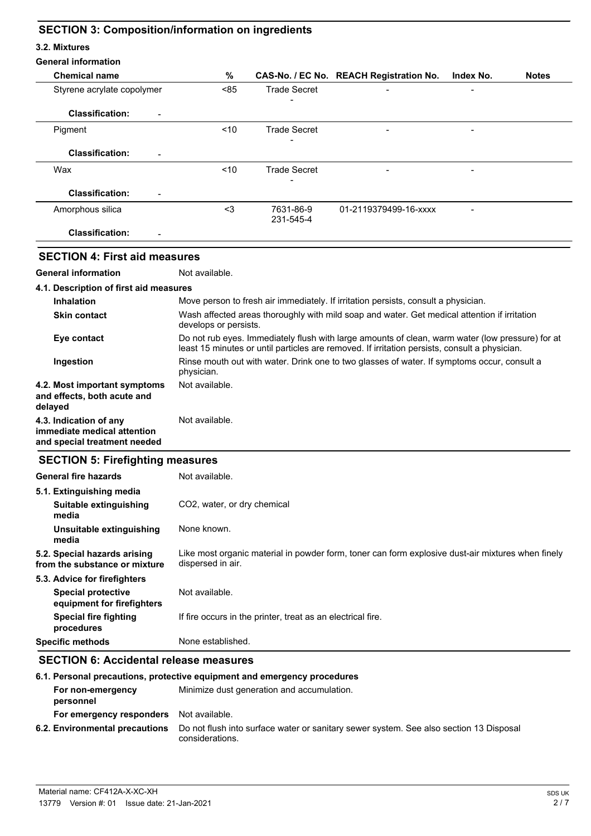# **SECTION 3: Composition/information on ingredients**

#### **3.2. Mixtures**

| %<br><b>Chemical name</b><br>CAS-No. / EC No. REACH Registration No.<br>Index No.<br><b>Notes</b><br>< 85<br><b>Trade Secret</b><br>Styrene acrylate copolymer<br><b>Classification:</b><br><b>Trade Secret</b><br>< 10<br>Pigment<br><b>Classification:</b><br>< 10<br><b>Trade Secret</b><br>Wax<br><b>Classification:</b><br>$3$<br>7631-86-9<br>01-2119379499-16-xxxx<br>Amorphous silica<br>231-545-4<br><b>Classification:</b><br><b>SECTION 4: First aid measures</b><br>Not available.<br>Move person to fresh air immediately. If irritation persists, consult a physician.<br><b>Inhalation</b><br>Wash affected areas thoroughly with mild soap and water. Get medical attention if irritation<br><b>Skin contact</b><br>develops or persists.<br>Eye contact<br>least 15 minutes or until particles are removed. If irritation persists, consult a physician.<br>Rinse mouth out with water. Drink one to two glasses of water. If symptoms occur, consult a<br>Ingestion<br>physician.<br>Not available.<br>Not available.<br>immediate medical attention<br>and special treatment needed<br><b>SECTION 5: Firefighting measures</b><br>Not available.<br><b>General fire hazards</b><br>5.1. Extinguishing media<br>CO2, water, or dry chemical<br>Suitable extinguishing<br>media<br>None known.<br>Unsuitable extinguishing<br>media<br>5.2. Special hazards arising<br>dispersed in air.<br>5.3. Advice for firefighters<br>Not available.<br><b>Special protective</b> | <b>General information</b> |                                                                                                   |  |  |  |  |
|------------------------------------------------------------------------------------------------------------------------------------------------------------------------------------------------------------------------------------------------------------------------------------------------------------------------------------------------------------------------------------------------------------------------------------------------------------------------------------------------------------------------------------------------------------------------------------------------------------------------------------------------------------------------------------------------------------------------------------------------------------------------------------------------------------------------------------------------------------------------------------------------------------------------------------------------------------------------------------------------------------------------------------------------------------------------------------------------------------------------------------------------------------------------------------------------------------------------------------------------------------------------------------------------------------------------------------------------------------------------------------------------------------------------------------------------------------------------------------------|----------------------------|---------------------------------------------------------------------------------------------------|--|--|--|--|
|                                                                                                                                                                                                                                                                                                                                                                                                                                                                                                                                                                                                                                                                                                                                                                                                                                                                                                                                                                                                                                                                                                                                                                                                                                                                                                                                                                                                                                                                                          |                            |                                                                                                   |  |  |  |  |
|                                                                                                                                                                                                                                                                                                                                                                                                                                                                                                                                                                                                                                                                                                                                                                                                                                                                                                                                                                                                                                                                                                                                                                                                                                                                                                                                                                                                                                                                                          |                            |                                                                                                   |  |  |  |  |
|                                                                                                                                                                                                                                                                                                                                                                                                                                                                                                                                                                                                                                                                                                                                                                                                                                                                                                                                                                                                                                                                                                                                                                                                                                                                                                                                                                                                                                                                                          |                            |                                                                                                   |  |  |  |  |
|                                                                                                                                                                                                                                                                                                                                                                                                                                                                                                                                                                                                                                                                                                                                                                                                                                                                                                                                                                                                                                                                                                                                                                                                                                                                                                                                                                                                                                                                                          |                            |                                                                                                   |  |  |  |  |
|                                                                                                                                                                                                                                                                                                                                                                                                                                                                                                                                                                                                                                                                                                                                                                                                                                                                                                                                                                                                                                                                                                                                                                                                                                                                                                                                                                                                                                                                                          |                            |                                                                                                   |  |  |  |  |
|                                                                                                                                                                                                                                                                                                                                                                                                                                                                                                                                                                                                                                                                                                                                                                                                                                                                                                                                                                                                                                                                                                                                                                                                                                                                                                                                                                                                                                                                                          |                            |                                                                                                   |  |  |  |  |
| <b>General information</b><br>4.1. Description of first aid measures<br>4.2. Most important symptoms<br>and effects, both acute and<br>delayed<br>4.3. Indication of any<br>from the substance or mixture                                                                                                                                                                                                                                                                                                                                                                                                                                                                                                                                                                                                                                                                                                                                                                                                                                                                                                                                                                                                                                                                                                                                                                                                                                                                                |                            |                                                                                                   |  |  |  |  |
|                                                                                                                                                                                                                                                                                                                                                                                                                                                                                                                                                                                                                                                                                                                                                                                                                                                                                                                                                                                                                                                                                                                                                                                                                                                                                                                                                                                                                                                                                          |                            |                                                                                                   |  |  |  |  |
|                                                                                                                                                                                                                                                                                                                                                                                                                                                                                                                                                                                                                                                                                                                                                                                                                                                                                                                                                                                                                                                                                                                                                                                                                                                                                                                                                                                                                                                                                          |                            |                                                                                                   |  |  |  |  |
|                                                                                                                                                                                                                                                                                                                                                                                                                                                                                                                                                                                                                                                                                                                                                                                                                                                                                                                                                                                                                                                                                                                                                                                                                                                                                                                                                                                                                                                                                          |                            |                                                                                                   |  |  |  |  |
|                                                                                                                                                                                                                                                                                                                                                                                                                                                                                                                                                                                                                                                                                                                                                                                                                                                                                                                                                                                                                                                                                                                                                                                                                                                                                                                                                                                                                                                                                          |                            |                                                                                                   |  |  |  |  |
|                                                                                                                                                                                                                                                                                                                                                                                                                                                                                                                                                                                                                                                                                                                                                                                                                                                                                                                                                                                                                                                                                                                                                                                                                                                                                                                                                                                                                                                                                          |                            |                                                                                                   |  |  |  |  |
|                                                                                                                                                                                                                                                                                                                                                                                                                                                                                                                                                                                                                                                                                                                                                                                                                                                                                                                                                                                                                                                                                                                                                                                                                                                                                                                                                                                                                                                                                          |                            |                                                                                                   |  |  |  |  |
|                                                                                                                                                                                                                                                                                                                                                                                                                                                                                                                                                                                                                                                                                                                                                                                                                                                                                                                                                                                                                                                                                                                                                                                                                                                                                                                                                                                                                                                                                          |                            |                                                                                                   |  |  |  |  |
|                                                                                                                                                                                                                                                                                                                                                                                                                                                                                                                                                                                                                                                                                                                                                                                                                                                                                                                                                                                                                                                                                                                                                                                                                                                                                                                                                                                                                                                                                          |                            | Do not rub eyes. Immediately flush with large amounts of clean, warm water (low pressure) for at  |  |  |  |  |
|                                                                                                                                                                                                                                                                                                                                                                                                                                                                                                                                                                                                                                                                                                                                                                                                                                                                                                                                                                                                                                                                                                                                                                                                                                                                                                                                                                                                                                                                                          |                            |                                                                                                   |  |  |  |  |
|                                                                                                                                                                                                                                                                                                                                                                                                                                                                                                                                                                                                                                                                                                                                                                                                                                                                                                                                                                                                                                                                                                                                                                                                                                                                                                                                                                                                                                                                                          |                            |                                                                                                   |  |  |  |  |
|                                                                                                                                                                                                                                                                                                                                                                                                                                                                                                                                                                                                                                                                                                                                                                                                                                                                                                                                                                                                                                                                                                                                                                                                                                                                                                                                                                                                                                                                                          |                            |                                                                                                   |  |  |  |  |
|                                                                                                                                                                                                                                                                                                                                                                                                                                                                                                                                                                                                                                                                                                                                                                                                                                                                                                                                                                                                                                                                                                                                                                                                                                                                                                                                                                                                                                                                                          |                            |                                                                                                   |  |  |  |  |
|                                                                                                                                                                                                                                                                                                                                                                                                                                                                                                                                                                                                                                                                                                                                                                                                                                                                                                                                                                                                                                                                                                                                                                                                                                                                                                                                                                                                                                                                                          |                            |                                                                                                   |  |  |  |  |
|                                                                                                                                                                                                                                                                                                                                                                                                                                                                                                                                                                                                                                                                                                                                                                                                                                                                                                                                                                                                                                                                                                                                                                                                                                                                                                                                                                                                                                                                                          |                            |                                                                                                   |  |  |  |  |
|                                                                                                                                                                                                                                                                                                                                                                                                                                                                                                                                                                                                                                                                                                                                                                                                                                                                                                                                                                                                                                                                                                                                                                                                                                                                                                                                                                                                                                                                                          |                            |                                                                                                   |  |  |  |  |
|                                                                                                                                                                                                                                                                                                                                                                                                                                                                                                                                                                                                                                                                                                                                                                                                                                                                                                                                                                                                                                                                                                                                                                                                                                                                                                                                                                                                                                                                                          |                            |                                                                                                   |  |  |  |  |
|                                                                                                                                                                                                                                                                                                                                                                                                                                                                                                                                                                                                                                                                                                                                                                                                                                                                                                                                                                                                                                                                                                                                                                                                                                                                                                                                                                                                                                                                                          |                            | Like most organic material in powder form, toner can form explosive dust-air mixtures when finely |  |  |  |  |
|                                                                                                                                                                                                                                                                                                                                                                                                                                                                                                                                                                                                                                                                                                                                                                                                                                                                                                                                                                                                                                                                                                                                                                                                                                                                                                                                                                                                                                                                                          |                            |                                                                                                   |  |  |  |  |
|                                                                                                                                                                                                                                                                                                                                                                                                                                                                                                                                                                                                                                                                                                                                                                                                                                                                                                                                                                                                                                                                                                                                                                                                                                                                                                                                                                                                                                                                                          | equipment for firefighters |                                                                                                   |  |  |  |  |
| <b>Special fire fighting</b><br>If fire occurs in the printer, treat as an electrical fire.<br>procedures                                                                                                                                                                                                                                                                                                                                                                                                                                                                                                                                                                                                                                                                                                                                                                                                                                                                                                                                                                                                                                                                                                                                                                                                                                                                                                                                                                                |                            |                                                                                                   |  |  |  |  |
| None established.<br><b>Specific methods</b>                                                                                                                                                                                                                                                                                                                                                                                                                                                                                                                                                                                                                                                                                                                                                                                                                                                                                                                                                                                                                                                                                                                                                                                                                                                                                                                                                                                                                                             |                            |                                                                                                   |  |  |  |  |

# **SECTION 6: Accidental release measures**

| 6.1. Personal precautions, protective equipment and emergency procedures |                                                                                                           |  |
|--------------------------------------------------------------------------|-----------------------------------------------------------------------------------------------------------|--|
| For non-emergency<br>personnel                                           | Minimize dust generation and accumulation.                                                                |  |
| For emergency responders                                                 | Not available.                                                                                            |  |
| 6.2. Environmental precautions                                           | Do not flush into surface water or sanitary sewer system. See also section 13 Disposal<br>considerations. |  |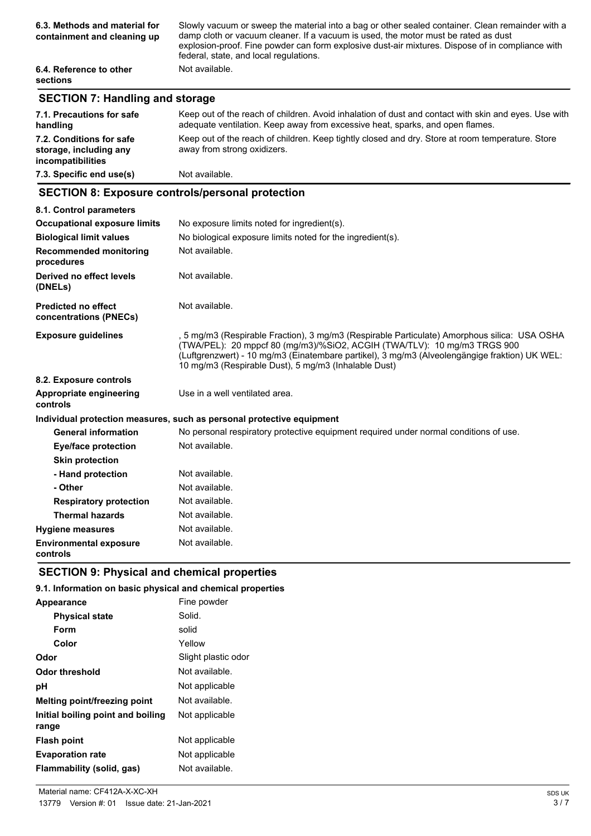| 6.3. Methods and material for<br>containment and cleaning up | Slowly vacuum or sweep the material into a bag or other sealed container. Clean remainder with a<br>damp cloth or vacuum cleaner. If a vacuum is used, the motor must be rated as dust<br>explosion-proof. Fine powder can form explosive dust-air mixtures. Dispose of in compliance with<br>federal, state, and local regulations. |
|--------------------------------------------------------------|--------------------------------------------------------------------------------------------------------------------------------------------------------------------------------------------------------------------------------------------------------------------------------------------------------------------------------------|
| 6.4. Reference to other<br><b>sections</b>                   | Not available.                                                                                                                                                                                                                                                                                                                       |

# **SECTION 7: Handling and storage**

| 7.1. Precautions for safe<br>handling                                   | Keep out of the reach of children. Avoid inhalation of dust and contact with skin and eyes. Use with<br>adequate ventilation. Keep away from excessive heat, sparks, and open flames. |
|-------------------------------------------------------------------------|---------------------------------------------------------------------------------------------------------------------------------------------------------------------------------------|
| 7.2. Conditions for safe<br>storage, including any<br>incompatibilities | Keep out of the reach of children. Keep tightly closed and dry. Store at room temperature. Store<br>away from strong oxidizers.                                                       |
| 7.3. Specific end use(s)                                                | Not available.                                                                                                                                                                        |

## **SECTION 8: Exposure controls/personal protection**

| 8.1. Control parameters                              |                                                                                                                                                                                                                                                                                                                                   |
|------------------------------------------------------|-----------------------------------------------------------------------------------------------------------------------------------------------------------------------------------------------------------------------------------------------------------------------------------------------------------------------------------|
| <b>Occupational exposure limits</b>                  | No exposure limits noted for ingredient(s).                                                                                                                                                                                                                                                                                       |
| <b>Biological limit values</b>                       | No biological exposure limits noted for the ingredient(s).                                                                                                                                                                                                                                                                        |
| <b>Recommended monitoring</b><br>procedures          | Not available.                                                                                                                                                                                                                                                                                                                    |
| Derived no effect levels<br>(DNELs)                  | Not available.                                                                                                                                                                                                                                                                                                                    |
| <b>Predicted no effect</b><br>concentrations (PNECs) | Not available.                                                                                                                                                                                                                                                                                                                    |
| <b>Exposure quidelines</b>                           | , 5 mg/m3 (Respirable Fraction), 3 mg/m3 (Respirable Particulate) Amorphous silica: USA OSHA<br>(TWA/PEL): 20 mppcf 80 (mg/m3)/%SiO2, ACGIH (TWA/TLV): 10 mg/m3 TRGS 900<br>(Luftgrenzwert) - 10 mg/m3 (Einatembare partikel), 3 mg/m3 (Alveolengängige fraktion) UK WEL:<br>10 mg/m3 (Respirable Dust), 5 mg/m3 (Inhalable Dust) |
| 8.2. Exposure controls                               |                                                                                                                                                                                                                                                                                                                                   |
| Appropriate engineering<br>controls                  | Use in a well ventilated area.                                                                                                                                                                                                                                                                                                    |
|                                                      | Individual protection measures, such as personal protective equipment                                                                                                                                                                                                                                                             |
| <b>General information</b>                           | No personal respiratory protective equipment required under normal conditions of use.                                                                                                                                                                                                                                             |
| <b>Eye/face protection</b>                           | Not available.                                                                                                                                                                                                                                                                                                                    |
| <b>Skin protection</b>                               |                                                                                                                                                                                                                                                                                                                                   |
| - Hand protection                                    | Not available.                                                                                                                                                                                                                                                                                                                    |
| - Other                                              | Not available.                                                                                                                                                                                                                                                                                                                    |
| <b>Respiratory protection</b>                        | Not available.                                                                                                                                                                                                                                                                                                                    |
| <b>Thermal hazards</b>                               | Not available.                                                                                                                                                                                                                                                                                                                    |
| <b>Hygiene measures</b>                              | Not available.                                                                                                                                                                                                                                                                                                                    |
| <b>Environmental exposure</b><br>controls            | Not available.                                                                                                                                                                                                                                                                                                                    |

## **SECTION 9: Physical and chemical properties**

# **9.1. Information on basic physical and chemical properties**

| <b>Appearance</b>                          | Fine powder         |
|--------------------------------------------|---------------------|
| <b>Physical state</b>                      | Solid.              |
| Form                                       | solid               |
| Color                                      | Yellow              |
| Odor                                       | Slight plastic odor |
| Odor threshold                             | Not available.      |
| рH                                         | Not applicable      |
| <b>Melting point/freezing point</b>        | Not available.      |
| Initial boiling point and boiling<br>range | Not applicable      |
| <b>Flash point</b>                         | Not applicable      |
| <b>Evaporation rate</b>                    | Not applicable      |
| Flammability (solid, gas)                  | Not available.      |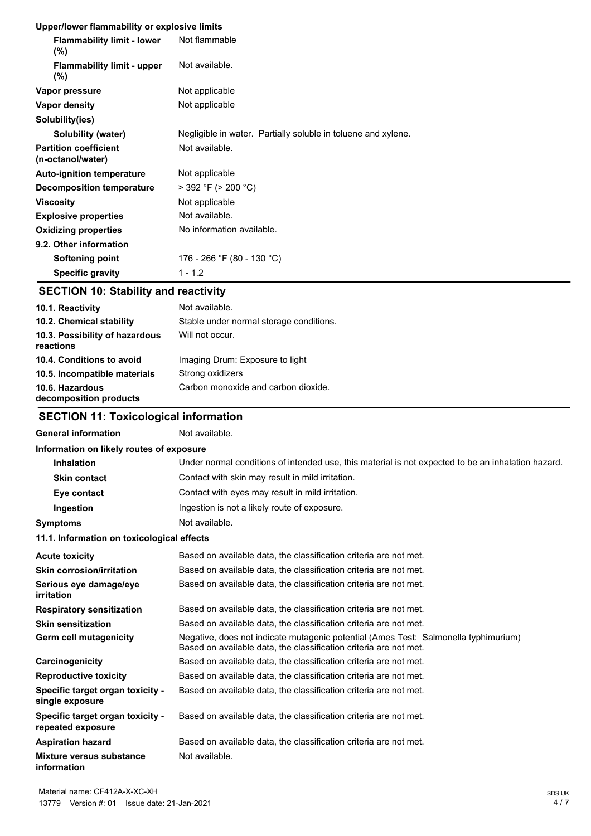### **Upper/lower flammability or explosive limits**

| <b>Flammability limit - lower</b><br>$(\%)$       | Not flammable                                                 |
|---------------------------------------------------|---------------------------------------------------------------|
| <b>Flammability limit - upper</b><br>$(\% )$      | Not available.                                                |
| Vapor pressure                                    | Not applicable                                                |
| Vapor density                                     | Not applicable                                                |
| Solubility(ies)                                   |                                                               |
| Solubility (water)                                | Negligible in water. Partially soluble in toluene and xylene. |
| <b>Partition coefficient</b><br>(n-octanol/water) | Not available.                                                |
| <b>Auto-ignition temperature</b>                  | Not applicable                                                |
| Decomposition temperature                         | $>$ 392 °F ( $>$ 200 °C)                                      |
| <b>Viscosity</b>                                  | Not applicable                                                |
| <b>Explosive properties</b>                       | Not available.                                                |
| <b>Oxidizing properties</b>                       | No information available.                                     |
| 9.2. Other information                            |                                                               |
| Softening point                                   | 176 - 266 °F (80 - 130 °C)                                    |
| <b>Specific gravity</b>                           | $1 - 1.2$                                                     |

# **SECTION 10: Stability and reactivity**

| 10.1. Reactivity                            | Not available.                          |
|---------------------------------------------|-----------------------------------------|
| 10.2. Chemical stability                    | Stable under normal storage conditions. |
| 10.3. Possibility of hazardous<br>reactions | Will not occur.                         |
| 10.4. Conditions to avoid                   | Imaging Drum: Exposure to light         |
| 10.5. Incompatible materials                | Strong oxidizers                        |
| 10.6. Hazardous<br>decomposition products   | Carbon monoxide and carbon dioxide.     |

# **SECTION 11: Toxicological information**

| <b>General information</b>                            | Not available.                                                                                                                                           |
|-------------------------------------------------------|----------------------------------------------------------------------------------------------------------------------------------------------------------|
| Information on likely routes of exposure              |                                                                                                                                                          |
| <b>Inhalation</b>                                     | Under normal conditions of intended use, this material is not expected to be an inhalation hazard.                                                       |
| <b>Skin contact</b>                                   | Contact with skin may result in mild irritation.                                                                                                         |
| Eye contact                                           | Contact with eyes may result in mild irritation.                                                                                                         |
| Ingestion                                             | Ingestion is not a likely route of exposure.                                                                                                             |
| Symptoms                                              | Not available.                                                                                                                                           |
| 11.1. Information on toxicological effects            |                                                                                                                                                          |
| <b>Acute toxicity</b>                                 | Based on available data, the classification criteria are not met.                                                                                        |
| <b>Skin corrosion/irritation</b>                      | Based on available data, the classification criteria are not met.                                                                                        |
| Serious eye damage/eye<br>irritation                  | Based on available data, the classification criteria are not met.                                                                                        |
| <b>Respiratory sensitization</b>                      | Based on available data, the classification criteria are not met.                                                                                        |
| <b>Skin sensitization</b>                             | Based on available data, the classification criteria are not met.                                                                                        |
| Germ cell mutagenicity                                | Negative, does not indicate mutagenic potential (Ames Test: Salmonella typhimurium)<br>Based on available data, the classification criteria are not met. |
| Carcinogenicity                                       | Based on available data, the classification criteria are not met.                                                                                        |
| <b>Reproductive toxicity</b>                          | Based on available data, the classification criteria are not met.                                                                                        |
| Specific target organ toxicity -<br>single exposure   | Based on available data, the classification criteria are not met.                                                                                        |
| Specific target organ toxicity -<br>repeated exposure | Based on available data, the classification criteria are not met.                                                                                        |
| Aspiration hazard                                     | Based on available data, the classification criteria are not met.                                                                                        |
| <b>Mixture versus substance</b><br>information        | Not available.                                                                                                                                           |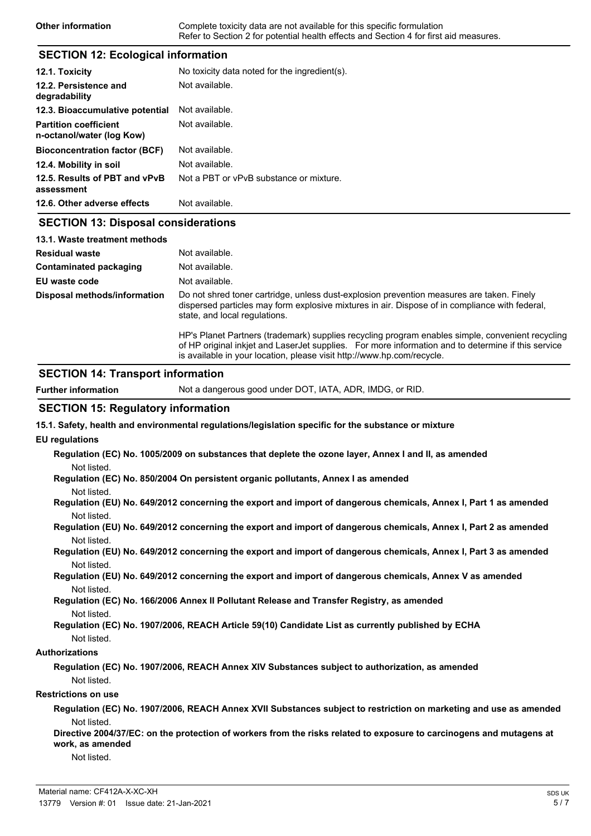| Other information | Complete toxicity data are not available for this specific formulation                |
|-------------------|---------------------------------------------------------------------------------------|
|                   | Refer to Section 2 for potential health effects and Section 4 for first aid measures. |

### **SECTION 12: Ecological information**

| 12.1. Toxicity                                            | No toxicity data noted for the ingredient(s). |
|-----------------------------------------------------------|-----------------------------------------------|
| 12.2. Persistence and<br>degradability                    | Not available.                                |
| 12.3. Bioaccumulative potential                           | Not available.                                |
| <b>Partition coefficient</b><br>n-octanol/water (log Kow) | Not available.                                |
| <b>Bioconcentration factor (BCF)</b>                      | Not available.                                |
| 12.4. Mobility in soil                                    | Not available.                                |
| 12.5. Results of PBT and vPvB<br>assessment               | Not a PBT or vPvB substance or mixture.       |
| 12.6. Other adverse effects                               | Not available.                                |
| <b>SECTION 13: Disposal considerations</b>                |                                               |
| 13.1. Waste treatment methods                             |                                               |
| Residual waste                                            | Not available.                                |
| <b>Contaminated packaging</b>                             | Not available.                                |
|                                                           |                                               |

**EU** waste code Not available. Do not shred toner cartridge, unless dust-explosion prevention measures are taken. Finely dispersed particles may form explosive mixtures in air. Dispose of in compliance with federal, state, and local regulations. **Disposal methods/information**

> HP's Planet Partners (trademark) supplies recycling program enables simple, convenient recycling of HP original inkjet and LaserJet supplies. For more information and to determine if this service is available in your location, please visit http://www.hp.com/recycle.

### **SECTION 14: Transport information**

**Further information** Not a dangerous good under DOT, IATA, ADR, IMDG, or RID.

### **SECTION 15: Regulatory information**

**15.1. Safety, health and environmental regulations/legislation specific for the substance or mixture**

#### **EU regulations**

**Regulation (EC) No. 1005/2009 on substances that deplete the ozone layer, Annex I and II, as amended** Not listed.

- **Regulation (EC) No. 850/2004 On persistent organic pollutants, Annex I as amended** Not listed.
- **Regulation (EU) No. 649/2012 concerning the export and import of dangerous chemicals, Annex I, Part 1 as amended** Not listed.
- **Regulation (EU) No. 649/2012 concerning the export and import of dangerous chemicals, Annex I, Part 2 as amended** Not listed.
- **Regulation (EU) No. 649/2012 concerning the export and import of dangerous chemicals, Annex I, Part 3 as amended** Not listed.
- **Regulation (EU) No. 649/2012 concerning the export and import of dangerous chemicals, Annex V as amended** Not listed.

**Regulation (EC) No. 166/2006 Annex II Pollutant Release and Transfer Registry, as amended** Not listed.

**Regulation (EC) No. 1907/2006, REACH Article 59(10) Candidate List as currently published by ECHA** Not listed.

#### **Authorizations**

**Regulation (EC) No. 1907/2006, REACH Annex XIV Substances subject to authorization, as amended** Not listed.

#### **Restrictions on use**

**Regulation (EC) No. 1907/2006, REACH Annex XVII Substances subject to restriction on marketing and use as amended** Not listed.

**Directive 2004/37/EC: on the protection of workers from the risks related to exposure to carcinogens and mutagens at work, as amended**

Not listed.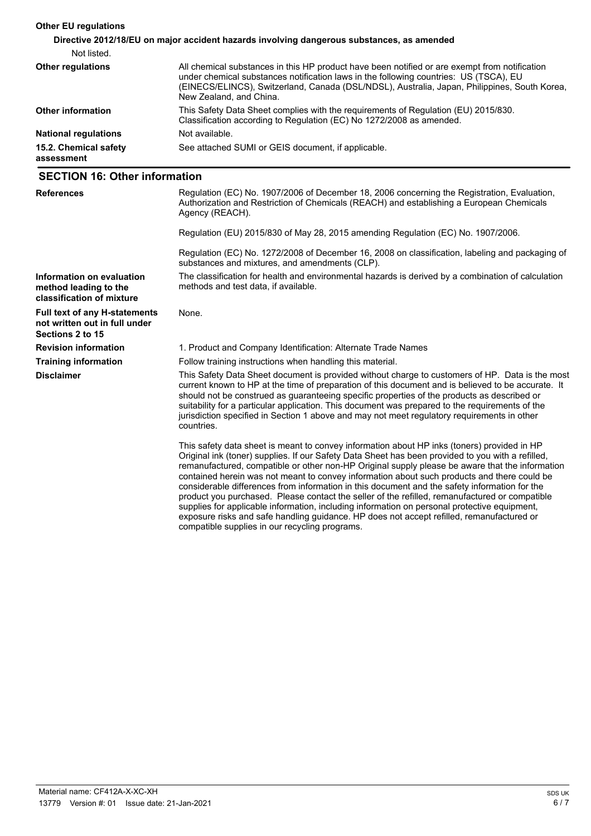| <b>Other EU regulations</b>                                                               |                                                                                                                                                                                                                                                                                                                   |  |
|-------------------------------------------------------------------------------------------|-------------------------------------------------------------------------------------------------------------------------------------------------------------------------------------------------------------------------------------------------------------------------------------------------------------------|--|
| Directive 2012/18/EU on major accident hazards involving dangerous substances, as amended |                                                                                                                                                                                                                                                                                                                   |  |
| Not listed.                                                                               |                                                                                                                                                                                                                                                                                                                   |  |
| <b>Other regulations</b>                                                                  | All chemical substances in this HP product have been notified or are exempt from notification<br>under chemical substances notification laws in the following countries: US (TSCA), EU<br>(EINECS/ELINCS), Switzerland, Canada (DSL/NDSL), Australia, Japan, Philippines, South Korea,<br>New Zealand, and China. |  |
| <b>Other information</b>                                                                  | This Safety Data Sheet complies with the requirements of Regulation (EU) 2015/830.<br>Classification according to Regulation (EC) No 1272/2008 as amended.                                                                                                                                                        |  |
| <b>National regulations</b>                                                               | Not available.                                                                                                                                                                                                                                                                                                    |  |
| 15.2. Chemical safety<br>assessment                                                       | See attached SUMI or GEIS document, if applicable.                                                                                                                                                                                                                                                                |  |

### **SECTION 16: Other information**

| <b>References</b>                                                                         | Regulation (EC) No. 1907/2006 of December 18, 2006 concerning the Registration, Evaluation,<br>Authorization and Restriction of Chemicals (REACH) and establishing a European Chemicals<br>Agency (REACH).                                                                                                                                                                                                                                                                                                                                                                                            |
|-------------------------------------------------------------------------------------------|-------------------------------------------------------------------------------------------------------------------------------------------------------------------------------------------------------------------------------------------------------------------------------------------------------------------------------------------------------------------------------------------------------------------------------------------------------------------------------------------------------------------------------------------------------------------------------------------------------|
|                                                                                           | Regulation (EU) 2015/830 of May 28, 2015 amending Regulation (EC) No. 1907/2006.                                                                                                                                                                                                                                                                                                                                                                                                                                                                                                                      |
|                                                                                           | Regulation (EC) No. 1272/2008 of December 16, 2008 on classification, labeling and packaging of<br>substances and mixtures, and amendments (CLP).                                                                                                                                                                                                                                                                                                                                                                                                                                                     |
| Information on evaluation<br>method leading to the<br>classification of mixture           | The classification for health and environmental hazards is derived by a combination of calculation<br>methods and test data, if available.                                                                                                                                                                                                                                                                                                                                                                                                                                                            |
| <b>Full text of any H-statements</b><br>not written out in full under<br>Sections 2 to 15 | None.                                                                                                                                                                                                                                                                                                                                                                                                                                                                                                                                                                                                 |
| <b>Revision information</b>                                                               | 1. Product and Company Identification: Alternate Trade Names                                                                                                                                                                                                                                                                                                                                                                                                                                                                                                                                          |
| <b>Training information</b>                                                               | Follow training instructions when handling this material.                                                                                                                                                                                                                                                                                                                                                                                                                                                                                                                                             |
| <b>Disclaimer</b>                                                                         | This Safety Data Sheet document is provided without charge to customers of HP. Data is the most<br>current known to HP at the time of preparation of this document and is believed to be accurate. It<br>should not be construed as guaranteeing specific properties of the products as described or<br>suitability for a particular application. This document was prepared to the requirements of the<br>jurisdiction specified in Section 1 above and may not meet regulatory requirements in other<br>countries.                                                                                  |
|                                                                                           | This safety data sheet is meant to convey information about HP inks (toners) provided in HP<br>Original ink (toner) supplies. If our Safety Data Sheet has been provided to you with a refilled,<br>remanufactured, compatible or other non-HP Original supply please be aware that the information<br>contained herein was not meant to convey information about such products and there could be<br>considerable differences from information in this document and the safety information for the<br>product you purchased. Please contact the seller of the refilled, remanufactured or compatible |

compatible supplies in our recycling programs.

supplies for applicable information, including information on personal protective equipment, exposure risks and safe handling guidance. HP does not accept refilled, remanufactured or